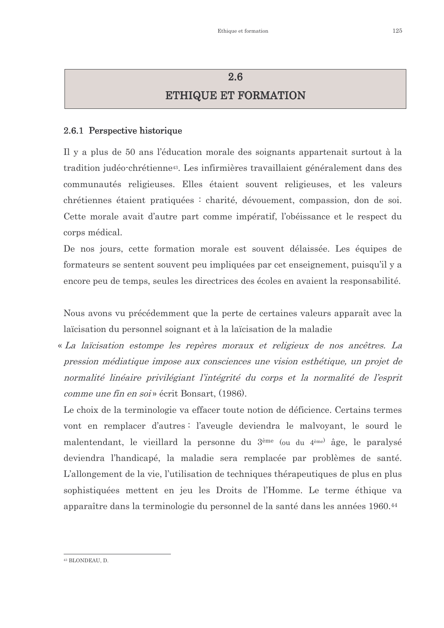## 2.6 **ETHIQUE ET FORMATION**

#### 2.6.1 Perspective historique

Il y a plus de 50 ans l'éducation morale des soignants appartenait surtout à la tradition judéo-chrétienne<sup>43</sup>. Les infirmières travaillaient généralement dans des communautés religieuses. Elles étaient souvent religieuses, et les valeurs chrétiennes étaient pratiquées : charité, dévouement, compassion, don de soi. Cette morale avait d'autre part comme impératif, l'obéissance et le respect du corps médical.

De nos jours, cette formation morale est souvent délaissée. Les équipes de formateurs se sentent souvent peu impliquées par cet enseignement, puisqu'il y a encore peu de temps, seules les directrices des écoles en avaient la responsabilité.

Nous avons vu précédemment que la perte de certaines valeurs apparaît avec la laïcisation du personnel soignant et à la laïcisation de la maladie

« La laicisation estompe les repères moraux et religieux de nos ancêtres. La pression médiatique impose aux consciences une vision esthétique, un projet de normalité linéaire privilégiant l'intégrité du corps et la normalité de l'esprit *comme une fin en soi* » écrit Bonsart. (1986).

Le choix de la terminologie va effacer toute notion de déficience. Certains termes vont en remplacer d'autres : l'aveugle deviendra le malvoyant, le sourd le malentendant, le vieillard la personne du 3<sup>ème</sup> (ou du 4<sup>ème)</sup> âge, le paralysé deviendra l'handicapé, la maladie sera remplacée par problèmes de santé. L'allongement de la vie, l'utilisation de techniques thérapeutiques de plus en plus sophistiquées mettent en jeu les Droits de l'Homme. Le terme éthique va apparaître dans la terminologie du personnel de la santé dans les années 1960.<sup>44</sup>

<sup>&</sup>lt;sup>43</sup> BLONDEAU, D.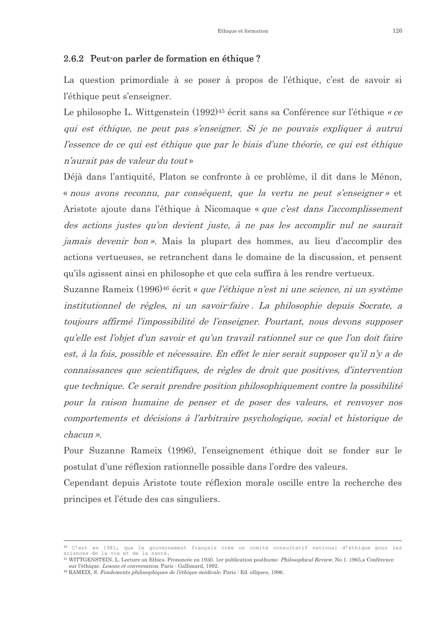#### 2.6.2 Peut-on parler de formation en éthique?

La question primordiale à se poser à propos de l'éthique, c'est de savoir si l'éthique peut s'enseigner.

Le philosophe L. Wittgenstein (1992)<sup>45</sup> écrit sans sa Conférence sur l'éthique « ce qui est éthique, ne peut pas s'enseigner. Si je ne pouvais expliquer à autrui l'essence de ce qui est éthique que par le biais d'une théorie, ce qui est éthique n'aurait pas de valeur du tout »

Déjà dans l'antiquité, Platon se confronte à ce problème, il dit dans le Ménon, « nous avons reconnu, par conséquent, que la vertu ne peut s'enseigner » et Aristote ajoute dans l'éthique à Nicomaque « que c'est dans l'accomplissement des actions justes qu'on devient juste, à ne pas les accomplir nul ne saurait *jamais devenir bon*». Mais la plupart des hommes, au lieu d'accomplir des actions vertueuses, se retranchent dans le domaine de la discussion, et pensent qu'ils agissent ainsi en philosophe et que cela suffira à les rendre vertueux.

Suzanne Rameix (1996)<sup>46</sup> écrit « que l'éthique n'est ni une science, ni un système institutionnel de règles, ni un savoir-faire. La philosophie depuis Socrate, a toujours affirmé l'impossibilité de l'enseigner. Pourtant, nous devons supposer qu'elle est l'objet d'un savoir et qu'un travail rationnel sur ce que l'on doit faire est, à la fois, possible et nécessaire. En effet le nier serait supposer qu'il n'y a de connaissances que scientifiques, de règles de droit que positives, d'intervention que technique. Ce serait prendre position philosophiquement contre la possibilité pour la raison humaine de penser et de poser des valeurs, et renvoyer nos comportements et décisions à l'arbitraire psychologique, social et historique de *chacun* ».

Pour Suzanne Rameix (1996), l'enseignement éthique doit se fonder sur le postulat d'une réflexion rationnelle possible dans l'ordre des valeurs.

Cependant depuis Aristote toute réflexion morale oscille entre la recherche des principes et l'étude des cas singuliers.

<sup>&</sup>lt;sup>44</sup> C'est en 1981, que le gouvernement français crée un comité consultatif national d'éthique pour les sciences de la vie et de la santé

<sup>&</sup>lt;sup>45</sup> WITTGENSTEIN, L. Lecture on Ethics. Prononcée en 1930. 1er publication posthume: *Philosophical Review*, No 1. 1965, a Conférence sur l'éthique Legons et conversation Paris : Gallimard 1992

<sup>&</sup>lt;sup>46</sup> RAMEIX, S. Fondements philosophiques de l'éthique médicale. Paris : Ed. ellipses, 1996.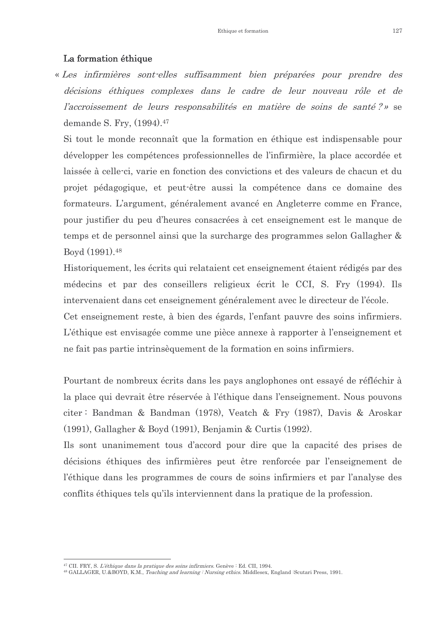#### La formation éthique

« Les infirmières sont-elles suffisamment bien préparées pour prendre des décisions éthiques complexes dans le cadre de leur nouveau rôle et de l'accroissement de leurs responsabilités en matière de soins de santé?» se demande S. Fry, (1994).<sup>47</sup>

Si tout le monde reconnaît que la formation en éthique est indispensable pour développer les compétences professionnelles de l'infirmière, la place accordée et laissée à celle-ci, varie en fonction des convictions et des valeurs de chacun et du projet pédagogique, et peut-être aussi la compétence dans ce domaine des formateurs. L'argument, généralement avancé en Angleterre comme en France, pour justifier du peu d'heures consacrées à cet enseignement est le manque de temps et de personnel ainsi que la surcharge des programmes selon Gallagher  $\&$ Boyd (1991).<sup>48</sup>

Historiquement, les écrits qui relataient cet enseignement étaient rédigés par des médecins et par des conseillers religieux écrit le CCI, S. Fry (1994). Ils intervenaient dans cet enseignement généralement avec le directeur de l'école. Cet enseignement reste, à bien des égards, l'enfant pauvre des soins infirmiers. L'éthique est envisagée comme une pièce annexe à rapporter à l'enseignement et ne fait pas partie intrinsèquement de la formation en soins infirmiers.

Pourtant de nombreux écrits dans les pays anglophones ont essayé de réfléchir à la place qui devrait être réservée à l'éthique dans l'enseignement. Nous pouvons citer: Bandman & Bandman (1978), Veatch & Fry (1987), Davis & Aroskar  $(1991)$ , Gallagher & Boyd  $(1991)$ , Benjamin & Curtis  $(1992)$ .

Ils sont unanimement tous d'accord pour dire que la capacité des prises de décisions éthiques des infirmières peut être renforcée par l'enseignement de l'éthique dans les programmes de cours de soins infirmiers et par l'analyse des conflits éthiques tels qu'ils interviennent dans la pratique de la profession.

<sup>&</sup>lt;sup>47</sup> CII. FRY, S. L'éthique dans la pratique des soins infirmiers. Genève : Ed. CII, 1994.

<sup>&</sup>lt;sup>48</sup> GALLAGER, U.&BOYD, K.M., *Teaching and learning : Nursing ethics*. Middlesex, England :Scutari Press, 1991.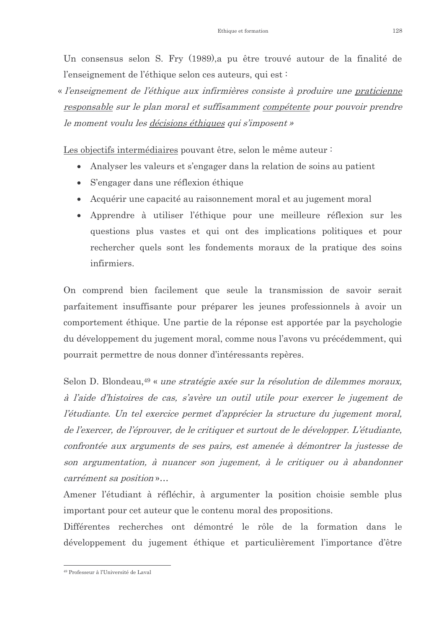Un consensus selon S. Fry (1989), a pu être trouvé autour de la finalité de l'enseignement de l'éthique selon ces auteurs, qui est :

« l'enseignement de l'éthique aux infirmières consiste à produire une praticienne responsable sur le plan moral et suffisamment compétente pour pouvoir prendre le moment voulu les décisions éthiques qui s'imposent »

Les objectifs intermédiaires pouvant être, selon le même auteur :

- Analyser les valeurs et s'engager dans la relation de soins au patient
- S'engager dans une réflexion éthique
- Acquérir une capacité au raisonnement moral et au jugement moral
- Apprendre à utiliser l'éthique pour une meilleure réflexion sur les questions plus vastes et qui ont des implications politiques et pour rechercher quels sont les fondements moraux de la pratique des soins infirmiers.

On comprend bien facilement que seule la transmission de savoir serait parfaitement insuffisante pour préparer les jeunes professionnels à avoir un comportement éthique. Une partie de la réponse est apportée par la psychologie du développement du jugement moral, comme nous l'avons vu précédemment, qui pourrait permettre de nous donner d'intéressants repères.

Selon D. Blondeau,<sup>49</sup> « *une stratégie axée sur la résolution de dilemmes moraux*, à l'aide d'histoires de cas, s'avère un outil utile pour exercer le jugement de l'étudiante. Un tel exercice permet d'apprécier la structure du jugement moral, de l'exercer, de l'éprouver, de le critiquer et surtout de le développer. L'étudiante, confrontée aux arguments de ses pairs, est amenée à démontrer la justesse de son argumentation, à nuancer son jugement, à le critiquer ou à abandonner carrément sa position »...

Amener l'étudiant à réfléchir, à argumenter la position choisie semble plus important pour cet auteur que le contenu moral des propositions.

Différentes recherches ont démontré le rôle de la formation dans le développement du jugement éthique et particulièrement l'importance d'être

<sup>&</sup>lt;sup>49</sup> Professeur à l'Université de Laval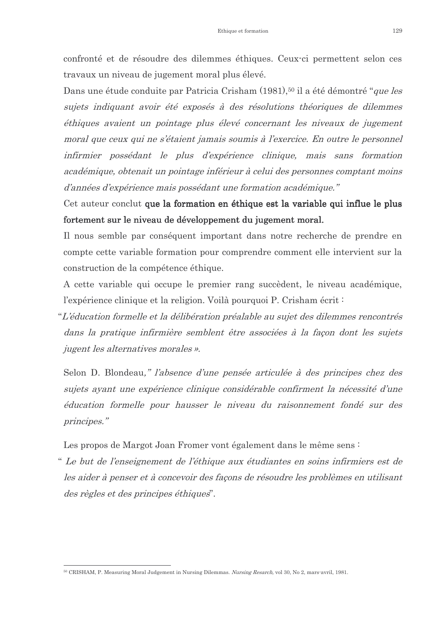confronté et de résoudre des dilemmes éthiques. Ceux-ci permettent selon ces travaux un niveau de jugement moral plus élevé.

Dans une étude conduite par Patricia Crisham (1981),<sup>50</sup> il a été démontré "que les sujets indiquant avoir été exposés à des résolutions théoriques de dilemmes éthiques avaient un pointage plus élevé concernant les niveaux de jugement moral que ceux qui ne s'étaient jamais soumis à l'exercice. En outre le personnel infirmier possédant le plus d'expérience clinique, mais sans formation académique, obtenait un pointage inférieur à celui des personnes comptant moins d'années d'expérience mais possédant une formation académique."

Cet auteur conclut que la formation en éthique est la variable qui influe le plus fortement sur le niveau de développement du jugement moral.

Il nous semble par conséquent important dans notre recherche de prendre en compte cette variable formation pour comprendre comment elle intervient sur la construction de la compétence éthique.

A cette variable qui occupe le premier rang succèdent, le niveau académique, l'expérience clinique et la religion. Voilà pourquoi P. Crisham écrit:

"L'éducation formelle et la délibération préalable au sujet des dilemmes rencontrés dans la pratique infirmière semblent être associées à la façon dont les sujets *jugent les alternatives morales ».* 

Selon D. Blondeau," l'absence d'une pensée articulée à des principes chez des sujets avant une expérience clinique considérable confirment la nécessité d'une éducation formelle pour hausser le niveau du raisonnement fondé sur des principes."

Les propos de Margot Joan Fromer vont également dans le même sens :

" Le but de l'enseignement de l'éthique aux étudiantes en soins infirmiers est de les aider à penser et à concevoir des facons de résoudre les problèmes en utilisant des règles et des principes éthiques".

<sup>&</sup>lt;sup>50</sup> CRISHAM P Measuring Moral Judgement in Nursing Dilemmas *Nursing Resarch* vol 30 No 2 mars-avril 1981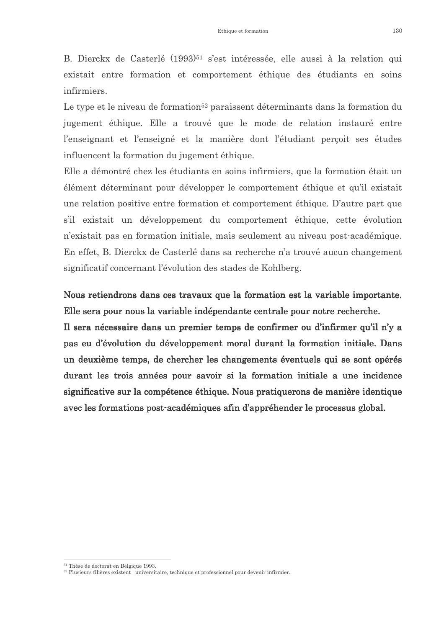B. Dierckx de Casterlé (1993)<sup>51</sup> s'est intéressée, elle aussi à la relation qui existait entre formation et comportement éthique des étudiants en soins infirmiers.

Le type et le niveau de formation<sup>52</sup> paraissent déterminants dans la formation du jugement éthique. Elle a trouvé que le mode de relation instauré entre l'enseignant et l'enseigné et la manière dont l'étudiant perçoit ses études influencent la formation du jugement éthique.

Elle a démontré chez les étudiants en soins infirmiers, que la formation était un élément déterminant pour développer le comportement éthique et qu'il existait une relation positive entre formation et comportement éthique. D'autre part que s'il existait un développement du comportement éthique, cette évolution n'existait pas en formation initiale, mais seulement au niveau post-académique. En effet, B. Dierckx de Casterlé dans sa recherche n'a trouvé aucun changement significatif concernant l'évolution des stades de Kohlberg.

Nous retiendrons dans ces travaux que la formation est la variable importante. Elle sera pour nous la variable indépendante centrale pour notre recherche.

Il sera nécessaire dans un premier temps de confirmer ou d'infirmer qu'il n'y a pas eu d'évolution du développement moral durant la formation initiale. Dans un deuxième temps, de chercher les changements éventuels qui se sont opérés durant les trois années pour savoir si la formation initiale a une incidence significative sur la compétence éthique. Nous pratiquerons de manière identique avec les formations post-académiques afin d'appréhender le processus global.

<sup>&</sup>lt;sup>51</sup> Thèse de doctorat en Belgique 1993

<sup>&</sup>lt;sup>52</sup> Plusieurs filières existent : universitaire technique et professionnel pour devenir infirmier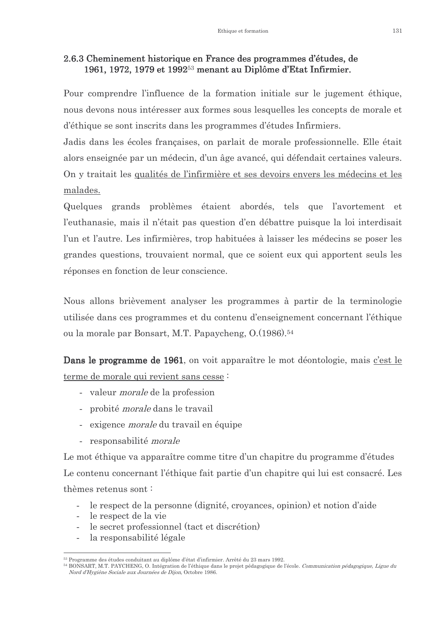#### 2.6.3 Cheminement historique en France des programmes d'études, de 1961, 1972, 1979 et 1992<sup>53</sup> menant au Diplôme d'Etat Infirmier.

Pour comprendre l'influence de la formation initiale sur le jugement éthique, nous devons nous intéresser aux formes sous lesquelles les concepts de morale et d'éthique se sont inscrits dans les programmes d'études Infirmiers.

Jadis dans les écoles françaises, on parlait de morale professionnelle. Elle était alors enseignée par un médecin, d'un âge avancé, qui défendait certaines valeurs. On y traitait les qualités de l'infirmière et ses devoirs envers les médecins et les malades.

Quelques grands problèmes étaient abordés, tels que l'avortement et l'euthanasie, mais il n'était pas question d'en débattre puisque la loi interdisait l'un et l'autre. Les infirmières, trop habituées à laisser les médecins se poser les grandes questions, trouvaient normal, que ce soient eux qui apportent seuls les réponses en fonction de leur conscience.

Nous allons brièvement analyser les programmes à partir de la terminologie utilisée dans ces programmes et du contenu d'enseignement concernant l'éthique ou la morale par Bonsart, M.T. Papaycheng, O. (1986).<sup>54</sup>

Dans le programme de 1961, on voit apparaître le mot déontologie, mais c'est le terme de morale qui revient sans cesse :

- valeur *morale* de la profession
- probité *morale* dans le travail
- exigence *morale* du travail en équipe
- responsabilité *morale*

Le mot éthique va apparaître comme titre d'un chapitre du programme d'études Le contenu concernant l'éthique fait partie d'un chapitre qui lui est consacré. Les thèmes retenus sont:

- le respect de la personne (dignité, croyances, opinion) et notion d'aide
- le respect de la vie
- le secret professionnel (tact et discrétion)
- la responsabilité légale  $\overline{a}$

<sup>53</sup> Programme des études conduitant au diplôme d'état d'infirmier. Arrêté du 23 mars 1992.

<sup>&</sup>lt;sup>54</sup> BONSART, M.T. PAYCHENG, O. Intégration de l'éthique dans le projet pédagogique de l'école. Communication pédagogique, Ligue du Nord d'Hygiène Sociale aux Journées de Dijon Octobre 1986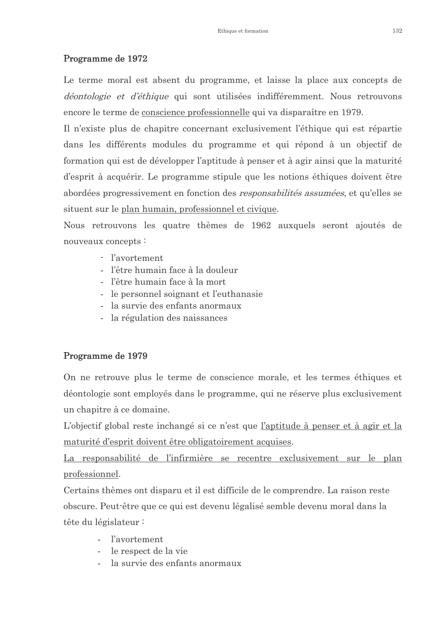### Programme de 1972

Le terme moral est absent du programme, et laisse la place aux concepts de *déontologie et d'éthique* qui sont utilisées indifféremment. Nous retrouvons encore le terme de conscience professionnelle qui va disparaître en 1979.

Il n'existe plus de chapitre concernant exclusivement l'éthique qui est répartie dans les différents modules du programme et qui répond à un objectif de formation qui est de développer l'aptitude à penser et à agir ainsi que la maturité d'esprit à acquérir. Le programme stipule que les notions éthiques doivent être abordées progressivement en fonction des *responsabilités assumées*, et qu'elles se situent sur le plan humain, professionnel et civique.

Nous retrouvons les quatre thèmes de 1962 auxquels seront ajoutés de nouveaux concepts:

- l'avortement
- l'être humain face à la douleur
- l'être humain face à la mort
- le personnel soignant et l'euthanasie
- la survie des enfants anormaux
- la régulation des naissances

### Programme de 1979

On ne retrouve plus le terme de conscience morale, et les termes éthiques et déontologie sont employés dans le programme, qui ne réserve plus exclusivement un chapitre à ce domaine.

L'objectif global reste inchangé si ce n'est que l'aptitude à penser et à agir et la maturité d'esprit doivent être obligatoirement acquises.

La responsabilité de l'infirmière se recentre exclusivement sur le plan professionnel.

Certains thèmes ont disparu et il est difficile de le comprendre. La raison reste obscure. Peut-être que ce qui est devenu légalisé semble devenu moral dans la tête du législateur:

- *l'avortement*
- le respect de la vie
- la survie des enfants anormaux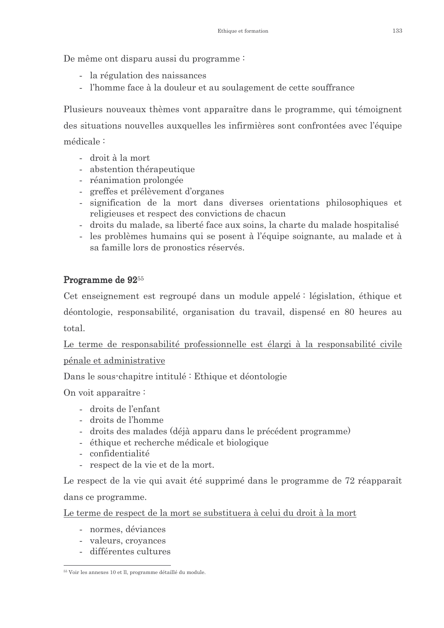De même ont disparu aussi du programme:

- la régulation des naissances
- l'homme face à la douleur et au soulagement de cette souffrance

Plusieurs nouveaux thèmes vont apparaître dans le programme, qui témoignent des situations nouvelles auxquelles les infirmières sont confrontées avec l'équipe médicale:

- droit à la mort
- abstention thérapeutique
- réanimation prolongée
- greffes et prélèvement d'organes
- signification de la mort dans diverses orientations philosophiques et religieuses et respect des convictions de chacun
- droits du malade, sa liberté face aux soins, la charte du malade hospitalisé
- les problèmes humains qui se posent à l'équipe soignante, au malade et à sa famille lors de pronostics réservés.

### Programme de 92<sup>55</sup>

Cet enseignement est regroupé dans un module appelé : législation, éthique et déontologie, responsabilité, organisation du travail, dispensé en 80 heures au total.

Le terme de responsabilité professionnelle est élargi à la responsabilité civile pénale et administrative

Dans le sous-chapitre intitulé : Ethique et déontologie

On voit apparaître :

- droits de l'enfant
- droits de l'homme
- droits des malades (déjà apparu dans le précédent programme)
- éthique et recherche médicale et biologique
- confidentialité
- respect de la vie et de la mort.

Le respect de la vie qui avait été supprimé dans le programme de 72 réapparaît dans ce programme.

Le terme de respect de la mort se substituera à celui du droit à la mort

- normes, déviances
- valeurs, croyances
- différentes cultures

<sup>&</sup>lt;sup>55</sup> Voir les annexes 10 et ll, programme détaillé du module.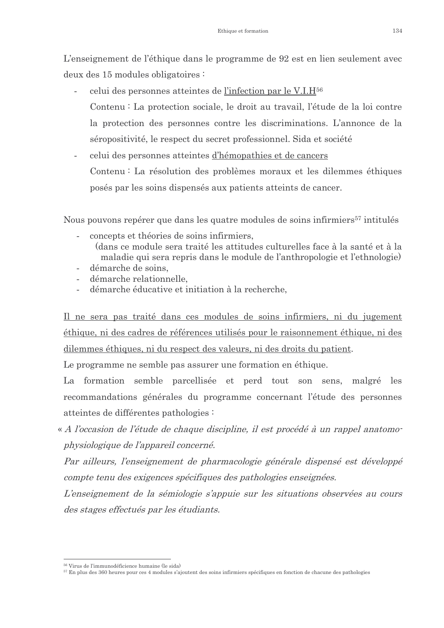L'enseignement de l'éthique dans le programme de 92 est en lien seulement avec deux des 15 modules obligatoires :

- celui des personnes atteintes de l'infection par le V.I.H<sup>56</sup> Contenu : La protection sociale, le droit au travail, l'étude de la loi contre la protection des personnes contre les discriminations. L'annonce de la séropositivité, le respect du secret professionnel. Sida et société
- celui des personnes atteintes d'hémopathies et de cancers Contenu: La résolution des problèmes moraux et les dilemmes éthiques posés par les soins dispensés aux patients atteints de cancer.

Nous pouvons repérer que dans les quatre modules de soins infirmiers<sup>57</sup> intitulés

- concepts et théories de soins infirmiers.
	- (dans ce module sera traité les attitudes culturelles face à la santé et à la maladie qui sera repris dans le module de l'anthropologie et l'ethnologie)
- démarche de soins.
- démarche relationnelle.
- démarche éducative et initiation à la recherche.  $\overline{a}$

Il ne sera pas traité dans ces modules de soins infirmiers, ni du jugement éthique, ni des cadres de références utilisés pour le raisonnement éthique, ni des dilemmes éthiques, ni du respect des valeurs, ni des droits du patient.

Le programme ne semble pas assurer une formation en éthique.

La formation semble parcellisée et perd tout son sens, malgré les recommandations générales du programme concernant l'étude des personnes atteintes de différentes pathologies :

« A l'occasion de l'étude de chaque discipline, il est procédé à un rappel anatomophysiologique de l'appareil concerné.

Par ailleurs, l'enseignement de pharmacologie générale dispensé est développé compte tenu des exigences spécifiques des pathologies enseignées.

L'enseignement de la sémiologie s'appuie sur les situations observées au cours des stages effectués par les étudiants.

<sup>&</sup>lt;sup>56</sup> Virus de l'immunodéficience humaine (le sida)

<sup>&</sup>lt;sup>57</sup> En plus des 360 heures pour ces 4 modules s'ajoutent des soins infirmiers spécifiques en fonction de chacune des pathologies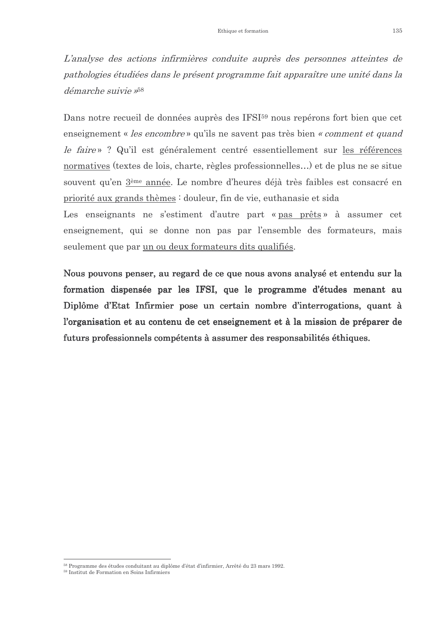L'analyse des actions infirmières conduite auprès des personnes atteintes de pathologies étudiées dans le présent programme fait apparaître une unité dans la démarche suivie »<sup>58</sup>

Dans notre recueil de données auprès des IFSI<sup>59</sup> nous repérons fort bien que cet enseignement « les encombre » qu'ils ne savent pas très bien « comment et quand le faire »? Qu'il est généralement centré essentiellement sur les références normatives (textes de lois, charte, règles professionnelles...) et de plus ne se situe souvent qu'en 3<sup>ème</sup> année. Le nombre d'heures déjà très faibles est consacré en priorité aux grands thèmes : douleur, fin de vie, euthanasie et sida

Les enseignants ne s'estiment d'autre part « pas prêts » à assumer cet enseignement, qui se donne non pas par l'ensemble des formateurs, mais seulement que par un ou deux formateurs dits qualifiés.

Nous pouvons penser, au regard de ce que nous avons analysé et entendu sur la formation dispensée par les IFSI, que le programme d'études menant au Diplôme d'Etat Infirmier pose un certain nombre d'interrogations, quant à l'organisation et au contenu de cet enseignement et à la mission de préparer de futurs professionnels compétents à assumer des responsabilités éthiques.

<sup>&</sup>lt;sup>58</sup> Programme des études conduitant au diplôme d'état d'infirmier. Arrêté du 23 mars 1992.

<sup>59</sup> Institut de Formation en Soins Infirmiers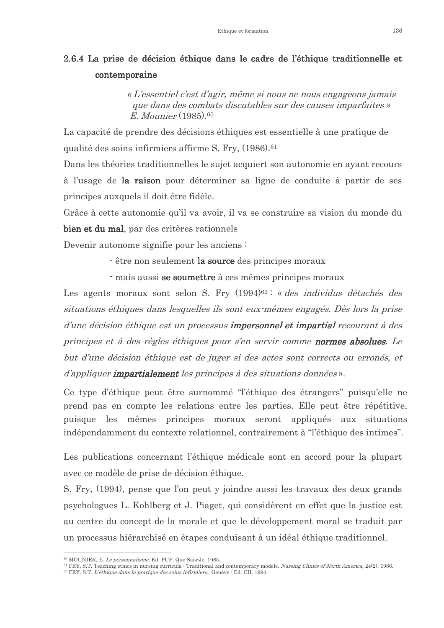### 2.6.4 La prise de décision éthique dans le cadre de l'éthique traditionnelle et contemporaine

« L'essentiel c'est d'agir, même si nous ne nous engageons jamais que dans des combats discutables sur des causes imparfaites »  $E.$  Mounier  $(1985)$ .<sup>60</sup>

La capacité de prendre des décisions éthiques est essentielle à une pratique de qualité des soins infirmiers affirme S. Fry. (1986).<sup>61</sup>

Dans les théories traditionnelles le sujet acquiert son autonomie en ayant recours à l'usage de la raison pour déterminer sa ligne de conduite à partir de ses principes auxquels il doit être fidèle.

Grâce à cette autonomie qu'il va avoir, il va se construire sa vision du monde du bien et du mal, par des critères rationnels

Devenir autonome signifie pour les anciens :

- être non seulement la source des principes moraux

- mais aussi se soumettre à ces mêmes principes moraux

Les agents moraux sont selon S. Fry (1994)<sup>62 :</sup> « des individus détachés des situations éthiques dans lesquelles ils sont eux mêmes engagés. Dès lors la prise d'une décision éthique est un processus impersonnel et impartial recourant à des principes et à des règles éthiques pour s'en servir comme normes absolues. Le but d'une décision éthique est de juger si des actes sont corrects ou erronés, et d'appliquer **impartialement** les principes à des situations données».

Ce type d'éthique peut être surnommé "l'éthique des étrangers" puisqu'elle ne prend pas en compte les relations entre les parties. Elle peut être répétitive, puisque les mêmes principes moraux seront appliqués aux situations indépendamment du contexte relationnel, contrairement à "l'éthique des intimes".

Les publications concernant l'éthique médicale sont en accord pour la plupart avec ce modèle de prise de décision éthique.

S. Fry, (1994), pense que l'on peut y joindre aussi les travaux des deux grands psychologues L. Kohlberg et J. Piaget, qui considèrent en effet que la justice est au centre du concept de la morale et que le développement moral se traduit par un processus hiérarchisé en étapes conduisant à un idéal éthique traditionnel.

<sup>&</sup>lt;sup>60</sup> MOUNIER, E. Le personnalisme. Ed. PUF, Que Sais-Je, 1985.

 ${}^{61}$  FRY, S.T. Teaching ethics in nursing curricula : Traditional and contemporary models. Nursing Clinics of North America, 24(2), 1986.

<sup>&</sup>lt;sup>62</sup> FRY, S.T. L'éthique dans la pratique des soins infirmiers. Genève : Ed. CII, 1994.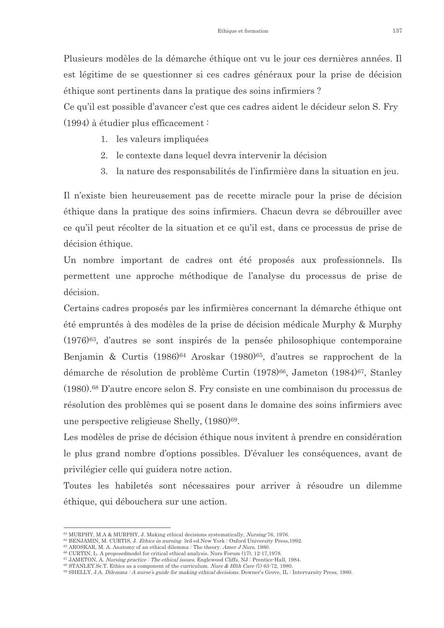Plusieurs modèles de la démarche éthique ont vu le jour ces dernières années. Il est légitime de se questionner si ces cadres généraux pour la prise de décision éthique sont pertinents dans la pratique des soins infirmiers?

Ce qu'il est possible d'avancer c'est que ces cadres aident le décideur selon S. Fry  $(1994)$  à étudier plus efficacement:

- 1. les valeurs impliquées
- 2. le contexte dans lequel devra intervenir la décision
- 3. la nature des responsabilités de l'infirmière dans la situation en jeu.

Il n'existe bien heureusement pas de recette miracle pour la prise de décision éthique dans la pratique des soins infirmiers. Chacun devra se débrouiller avec ce qu'il peut récolter de la situation et ce qu'il est, dans ce processus de prise de décision éthique.

Un nombre important de cadres ont été proposés aux professionnels. Ils permettent une approche méthodique de l'analyse du processus de prise de décision.

Certains cadres proposés par les infirmières concernant la démarche éthique ont été empruntés à des modèles de la prise de décision médicale Murphy & Murphy  $(1976)^{63}$ , d'autres se sont inspirés de la pensée philosophique contemporaine Benjamin & Curtis (1986)<sup>64</sup> Aroskar (1980)<sup>65</sup>, d'autres se rapprochent de la démarche de résolution de problème Curtin (1978)<sup>66</sup>, Jameton (1984)<sup>67</sup>, Stanley (1980).<sup>68</sup> D'autre encore selon S. Fry consiste en une combinaison du processus de résolution des problèmes qui se posent dans le domaine des soins infirmiers avec une perspective religieuse Shelly, (1980)<sup>69</sup>.

Les modèles de prise de décision éthique nous invitent à prendre en considération le plus grand nombre d'options possibles. D'évaluer les conséquences, avant de privilégier celle qui guidera notre action.

Toutes les habiletés sont nécessaires pour arriver à résoudre un dilemme éthique, qui débouchera sur une action.

<sup>63</sup> MURPHY, M.A & MURPHY, J. Making ethical decisions systematically, Nursing 76, 1976.

<sup>&</sup>lt;sup>64</sup> BENJAMIN, M. CURTIS, J. Ethics in nursing. 3rd ed.New York : Oxford University Press, 1992.

<sup>65</sup> AROSKAR, M. A. Anatomy of an ethical dilemma: The theory. Amer J Nurs, 1980.

<sup>&</sup>lt;sup>66</sup> CURTIN, L. A proposedmodel for critical ethical analysis. Nurs Forum (17), 12-17,1978. 67 JAMETON, A. *Nursing practice : The ethical issues.* Englewood Cliffs, NJ : Prentice Hall, 1984.

<sup>&</sup>lt;sup>68</sup> STANLEY.Sr.T. Ethics as a component of the curriculum. Nurs & Hlth Care (1) 63-72, 1980.

<sup>&</sup>lt;sup>69</sup> SHELLY, J.A. *Dilemma : A nurse's guide for making ethical decisions*. Downer's Grove, IL : Intervarsity Press, 1980.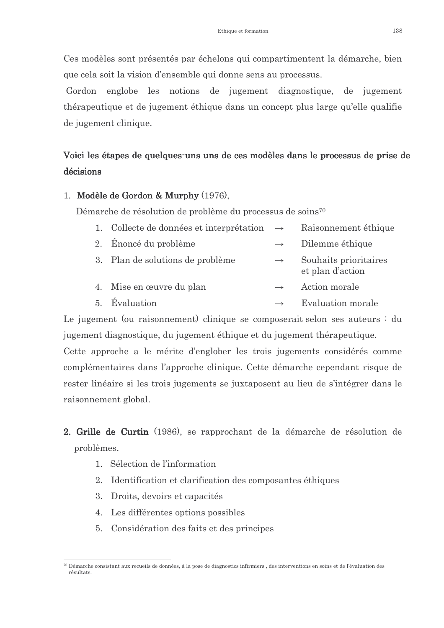Ces modèles sont présentés par échelons qui compartiment la démarche, bien que cela soit la vision d'ensemble qui donne sens au processus.

Gordon englobe les notions de jugement diagnostique, de jugement thérapeutique et de jugement éthique dans un concept plus large qu'elle qualifie de jugement clinique.

## Voici les étapes de quelques uns uns de ces modèles dans le processus de prise de décisions

#### 1. Modèle de Gordon & Murphy (1976),

Démarche de résolution de problème du processus de soins<sup>70</sup>

- 1. Collecte de données et interprétation  $\rightarrow$ Raisonnement éthique 2. Énoncé du problème Dilemme éthique
- 3. Plan de solutions de problème Souhaits prioritaires  $\rightarrow$

et plan d'action

- Mise en œuvre du plan Action morale  $4.$
- Évaluation Evaluation morale  $\overline{5}$  $\rightarrow$

Le jugement (ou raisonnement) clinique se composerait selon ses auteurs : du jugement diagnostique, du jugement éthique et du jugement thérapeutique.

Cette approche a le mérite d'englober les trois jugements considérés comme complémentaires dans l'approche clinique. Cette démarche cependant risque de rester linéaire si les trois jugements se juxtaposent au lieu de s'intégrer dans le raisonnement global.

- 2. Grille de Curtin (1986), se rapprochant de la démarche de résolution de problèmes.
	- 1. Sélection de l'information
	- 2. Identification et clarification des composantes éthiques
	- 3. Droits, devoirs et capacités
	- 4. Les différentes options possibles
	- 5. Considération des faits et des principes

<sup>&</sup>lt;sup>70</sup> Démarche consistant aux recueils de données à la pose de diagnostics infirmiers des interventions en soins et de l'évaluation des réentrate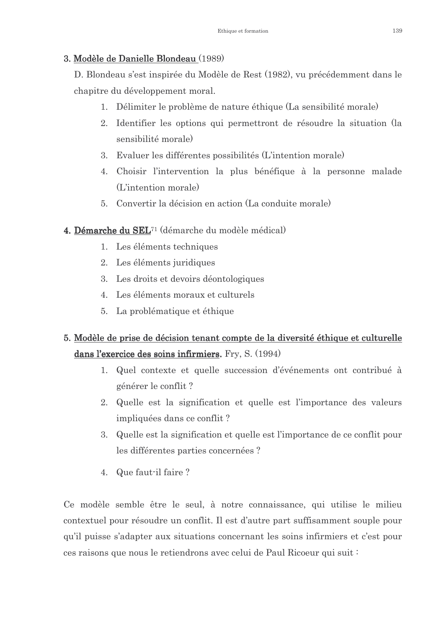### 3. Modèle de Danielle Blondeau (1989)

D. Blondeau s'est inspirée du Modèle de Rest (1982), vu précédemment dans le chapitre du développement moral.

- 1. Délimiter le problème de nature éthique (La sensibilité morale)
- 2. Identifier les options qui permettront de résoudre la situation (la sensibilité morale)
- 3. Evaluer les différentes possibilités (L'intention morale)
- 4. Choisir l'intervention la plus bénéfique à la personne malade (L'intention morale)
- 5. Convertir la décision en action (La conduite morale)

### 4. Démarche du SEL<sup>71</sup> (démarche du modèle médical)

- 1. Les éléments techniques
- 2. Les éléments juridiques
- 3. Les droits et devoirs déontologiques
- 4. Les éléments moraux et culturels
- 5. La problématique et éthique

### 5. Modèle de prise de décision tenant compte de la diversité éthique et culturelle dans l'exercice des soins infirmiers. Fry, S. (1994)

- 1. Quel contexte et quelle succession d'événements ont contribué à générer le conflit ?
- 2. Quelle est la signification et quelle est l'importance des valeurs impliquées dans ce conflit?
- 3. Quelle est la signification et quelle est l'importance de ce conflit pour les différentes parties concernées ?
- 4. Que faut-il faire?

Ce modèle semble être le seul, à notre connaissance, qui utilise le milieu contextuel pour résoudre un conflit. Il est d'autre part suffisamment souple pour qu'il puisse s'adapter aux situations concernant les soins infirmiers et c'est pour ces raisons que nous le retiendrons avec celui de Paul Ricoeur qui suit :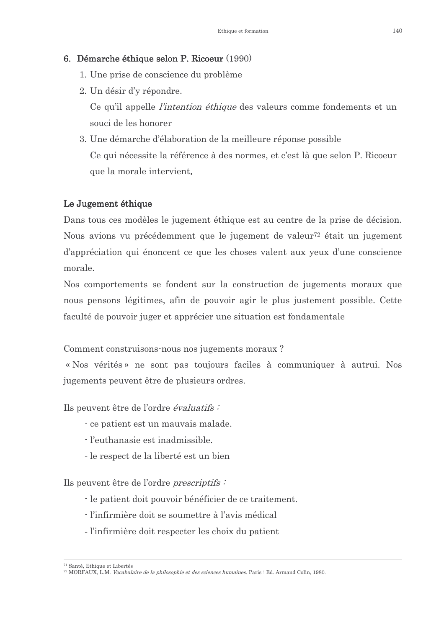#### 6. Démarche éthique selon P. Ricoeur (1990)

- 1. Une prise de conscience du problème
- 2. Un désir d'y répondre.

Ce qu'il appelle *l'intention éthique* des valeurs comme fondements et un souci de les honorer

3. Une démarche d'élaboration de la meilleure réponse possible Ce qui nécessite la référence à des normes, et c'est là que selon P. Ricoeur que la morale intervient.

#### Le Jugement éthique

Dans tous ces modèles le jugement éthique est au centre de la prise de décision. Nous avions vu précédemment que le jugement de valeur<sup>72</sup> était un jugement d'appréciation qui énoncent ce que les choses valent aux yeux d'une conscience morale

Nos comportements se fondent sur la construction de jugements moraux que nous pensons légitimes, afin de pouvoir agir le plus justement possible. Cette faculté de pouvoir juger et apprécier une situation est fondamentale

Comment construisons nous nos jugements moraux?

« Nos vérités » ne sont pas toujours faciles à communiquer à autrui. Nos jugements peuvent être de plusieurs ordres.

Ils peuvent être de l'ordre *évaluatifs*:

- ce patient est un mauvais malade.
- l'euthanasie est inadmissible.
- le respect de la liberté est un bien

Ils peuvent être de l'ordre *prescriptifs* 

- le patient doit pouvoir bénéficier de ce traitement.
- l'infirmière doit se soumettre à l'avis médical
- l'infirmière doit respecter les choix du patient

<sup>&</sup>lt;sup>71</sup> Santé Ethique et Libertés

<sup>&</sup>lt;sup>72</sup> MORFAUX, L.M. *Vocabulaire de la philosophie et des sciences humaines*. Paris : Ed. Armand Colin, 1980.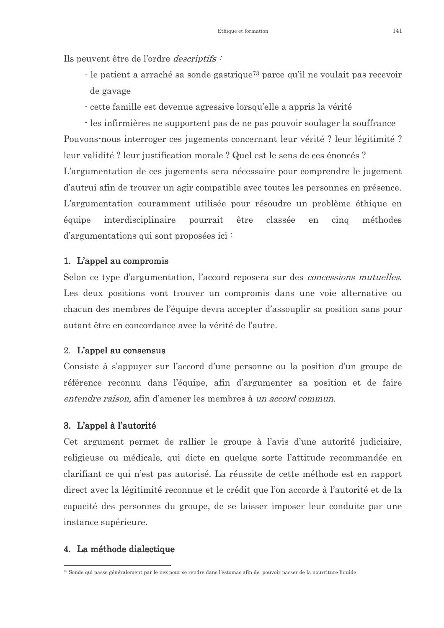Ils peuvent être de l'ordre *descriptifs*:

- $\cdot$ le patient a arraché sa sonde gastrique<br/>73 parce qu'il ne voulait pas recevoir de gavage
- cette famille est devenue agressive lorsqu'elle a appris la vérité
- les infirmières ne supportent pas de ne pas pouvoir soulager la souffrance

Pouvons-nous interroger ces jugements concernant leur vérité ? leur légitimité ? leur validité ? leur justification morale ? Quel est le sens de ces énoncés ?

L'argumentation de ces jugements sera nécessaire pour comprendre le jugement d'autrui afin de trouver un agir compatible avec toutes les personnes en présence. L'argumentation couramment utilisée pour résoudre un problème éthique en classée méthodes équipe interdisciplinaire pourrait être en  $cina$ d'argumentations qui sont proposées ici:

#### 1. L'appel au compromis

Selon ce type d'argumentation, l'accord reposera sur des *concessions mutuelles*. Les deux positions vont trouver un compromis dans une voie alternative ou chacun des membres de l'équipe devra accepter d'assouplir sa position sans pour autant être en concordance avec la vérité de l'autre.

#### 2. L'appel au consensus

Consiste à s'appuyer sur l'accord d'une personne ou la position d'un groupe de référence reconnu dans l'équipe, afin d'argumenter sa position et de faire entendre raison, afin d'amener les membres à un accord commun.

#### 3. L'appel à l'autorité

Cet argument permet de rallier le groupe à l'avis d'une autorité judiciaire, religieuse ou médicale, qui dicte en quelque sorte l'attitude recommandée en clarifiant ce qui n'est pas autorisé. La réussite de cette méthode est en rapport direct avec la légitimité reconnue et le crédit que l'on accorde à l'autorité et de la capacité des personnes du groupe, de se laisser imposer leur conduite par une instance supérieure.

#### 4. La méthode dialectique

<sup>&</sup>lt;sup>73</sup> Sonde qui passe généralement par le nez pour se rendre dans l'estomac afin de pouvoir passer de la pourriture liquide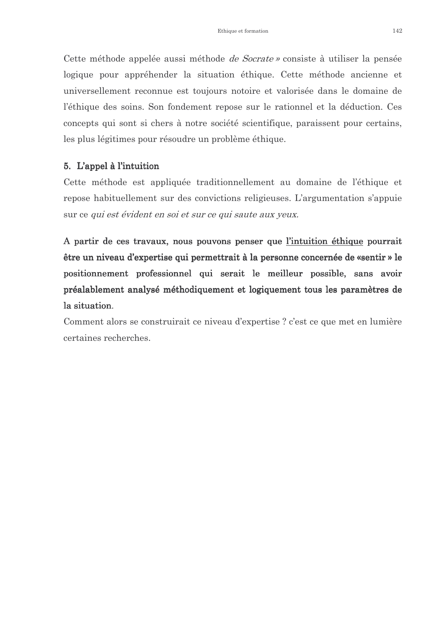Cette méthode appelée aussi méthode *de Socrate* » consiste à utiliser la pensée logique pour appréhender la situation éthique. Cette méthode ancienne et universellement reconnue est toujours notoire et valorisée dans le domaine de l'éthique des soins. Son fondement repose sur le rationnel et la déduction. Ces concepts qui sont si chers à notre société scientifique, paraissent pour certains, les plus légitimes pour résoudre un problème éthique.

#### 5. L'appel à l'intuition

Cette méthode est appliquée traditionnellement au domaine de l'éthique et repose habituellement sur des convictions religieuses. L'argumentation s'appuie sur ce qui est évident en soi et sur ce qui saute aux yeux.

A partir de ces travaux, nous pouvons penser que l'intuition éthique pourrait être un niveau d'expertise qui permettrait à la personne concernée de «sentir » le positionnement professionnel qui serait le meilleur possible, sans avoir préalablement analysé méthodiquement et logiquement tous les paramètres de la situation.

Comment alors se construirait ce niveau d'expertise? c'est ce que met en lumière certaines recherches.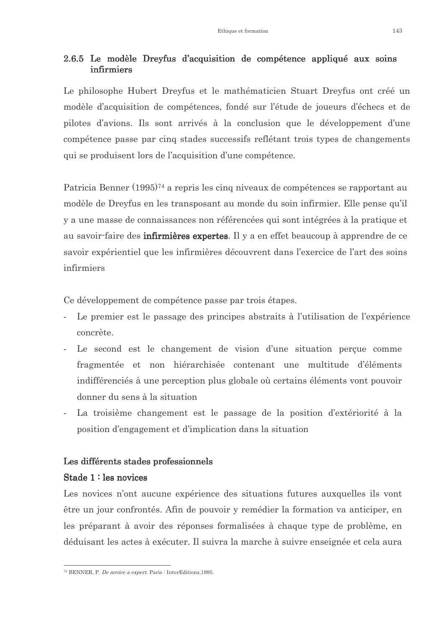#### 2.6.5 Le modèle Dreyfus d'acquisition de compétence appliqué aux soins infirmiers

Le philosophe Hubert Dreyfus et le mathématicien Stuart Dreyfus ont créé un modèle d'acquisition de compétences, fondé sur l'étude de joueurs d'échecs et de pilotes d'avions. Ils sont arrivés à la conclusion que le développement d'une compétence passe par cinq stades successifs reflétant trois types de changements qui se produisent lors de l'acquisition d'une compétence.

Patricia Benner (1995)<sup>74</sup> a repris les cinq niveaux de compétences se rapportant au modèle de Dreyfus en les transposant au monde du soin infirmier. Elle pense qu'il y a une masse de connaissances non référencées qui sont intégrées à la pratique et au savoir-faire des **infirmières expertes**. Il y a en effet beaucoup à apprendre de ce savoir expérientiel que les infirmières découvrent dans l'exercice de l'art des soins infirmiers

Ce développement de compétence passe par trois étapes.

- Le premier est le passage des principes abstraits à l'utilisation de l'expérience concrète.
- Le second est le changement de vision d'une situation percue comme fragmentée et non hiérarchisée contenant une multitude d'éléments indifférenciés à une perception plus globale où certains éléments vont pouvoir donner du sens à la situation
- La troisième changement est le passage de la position d'extériorité à la position d'engagement et d'implication dans la situation

#### Les différents stades professionnels

#### Stade 1: les novices

Les novices n'ont aucune expérience des situations futures auxquelles ils vont être un jour confrontés. Afin de pouvoir y remédier la formation va anticiper, en les préparant à avoir des réponses formalisées à chaque type de problème, en déduisant les actes à exécuter. Il suivra la marche à suivre enseignée et cela aura

<sup>&</sup>lt;sup>74</sup> BENNER, P. *De novice a expert*. Paris : InterEditions, 1995.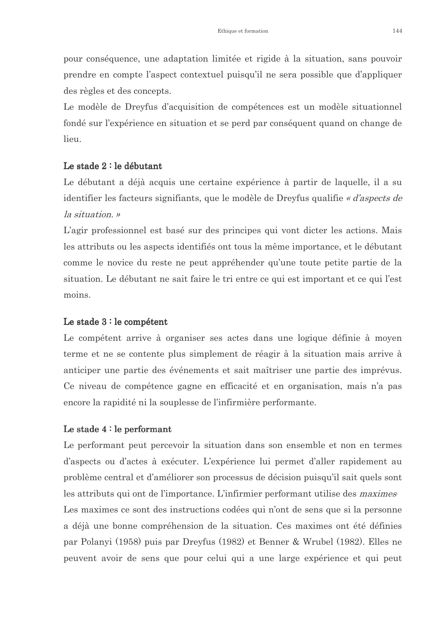pour conséquence, une adaptation limitée et rigide à la situation, sans pouvoir prendre en compte l'aspect contextuel puisqu'il ne sera possible que d'appliquer des règles et des concepts.

Le modèle de Dreyfus d'acquisition de compétences est un modèle situationnel fondé sur l'expérience en situation et se perd par conséquent quand on change de lieu.

#### Le stade  $2:$  le débutant

Le débutant a déjà acquis une certaine expérience à partir de laquelle, il a su identifier les facteurs signifiants, que le modèle de Dreyfus qualifie « d'aspects de la situation. »

L'agir professionnel est basé sur des principes qui vont dicter les actions. Mais les attributs ou les aspects identifiés ont tous la même importance, et le débutant comme le novice du reste ne peut appréhender qu'une toute petite partie de la situation. Le débutant ne sait faire le tri entre ce qui est important et ce qui l'est moins.

#### Le stade  $3:$  le compétent

Le compétent arrive à organiser ses actes dans une logique définie à moyen terme et ne se contente plus simplement de réagir à la situation mais arrive à anticiper une partie des événements et sait maîtriser une partie des imprévus. Ce niveau de compétence gagne en efficacité et en organisation, mais n'a pas encore la rapidité ni la souplesse de l'infirmière performante.

#### Le stade  $4:$  le performant

Le performant peut percevoir la situation dans son ensemble et non en termes d'aspects ou d'actes à exécuter. L'expérience lui permet d'aller rapidement au problème central et d'améliorer son processus de décision puisqu'il sait quels sont les attributs qui ont de l'importance. L'infirmier performant utilise des *maximes* Les maximes ce sont des instructions codées qui n'ont de sens que si la personne a déjà une bonne compréhension de la situation. Ces maximes ont été définies par Polanyi (1958) puis par Dreyfus (1982) et Benner & Wrubel (1982). Elles ne peuvent avoir de sens que pour celui qui a une large expérience et qui peut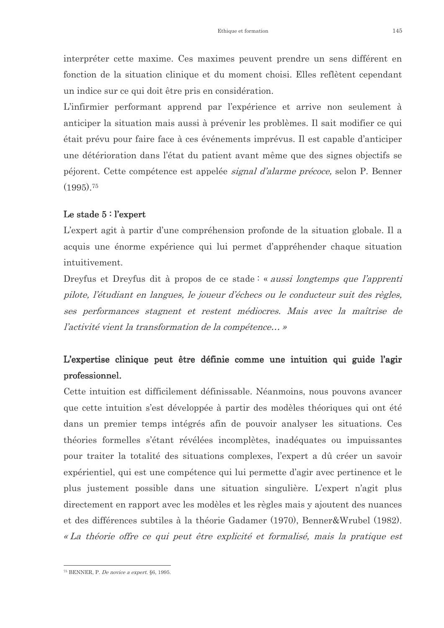interpréter cette maxime. Ces maximes peuvent prendre un sens différent en fonction de la situation clinique et du moment choisi. Elles reflètent cependant un indice sur ce qui doit être pris en considération.

L'infirmier performant apprend par l'expérience et arrive non seulement à anticiper la situation mais aussi à prévenir les problèmes. Il sait modifier ce qui était prévu pour faire face à ces événements imprévus. Il est capable d'anticiper une détérioration dans l'état du patient avant même que des signes objectifs se péjorent. Cette compétence est appelée *signal d'alarme précoce*, selon P. Benner  $(1995).75$ 

#### Le stade  $5:$  l'expert

L'expert agit à partir d'une compréhension profonde de la situation globale. Il a acquis une énorme expérience qui lui permet d'appréhender chaque situation intuitivement.

Dreyfus et Dreyfus dit à propos de ce stade: « *aussi longtemps que l'apprenti* pilote, l'étudiant en langues, le joueur d'échecs ou le conducteur suit des règles, ses performances stagnent et restent médiocres. Mais avec la maîtrise de l'activité vient la transformation de la compétence... »

### L'expertise clinique peut être définie comme une intuition qui guide l'agir professionnel.

Cette intuition est difficilement définissable. Néanmoins, nous pouvons avancer que cette intuition s'est développée à partir des modèles théoriques qui ont été dans un premier temps intégrés afin de pouvoir analyser les situations. Ces théories formelles s'étant révélées incomplètes, inadéquates ou impuissantes pour traiter la totalité des situations complexes, l'expert a dû créer un savoir expérientiel, qui est une compétence qui lui permette d'agir avec pertinence et le plus justement possible dans une situation singulière. L'expert n'agit plus directement en rapport avec les modèles et les règles mais y ajoutent des nuances et des différences subtiles à la théorie Gadamer (1970), Benner&Wrubel (1982). « La théorie offre ce qui peut être explicité et formalisé, mais la pratique est

<sup>&</sup>lt;sup>75</sup> BENNER P *De novice a expert* 86 1995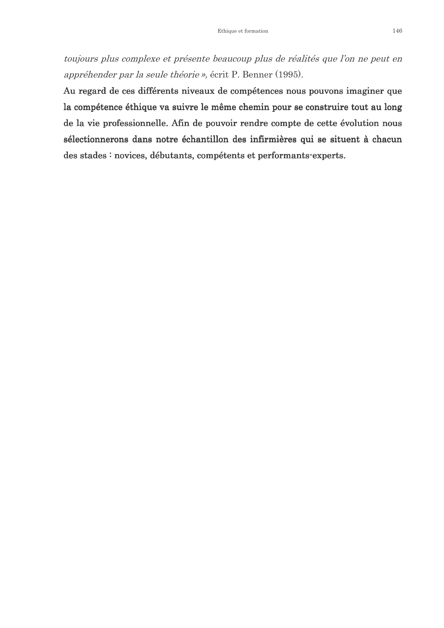toujours plus complexe et présente beaucoup plus de réalités que l'on ne peut en appréhender par la seule théorie », écrit P. Benner (1995).

Au regard de ces différents niveaux de compétences nous pouvons imaginer que la compétence éthique va suivre le même chemin pour se construire tout au long de la vie professionnelle. Afin de pouvoir rendre compte de cette évolution nous sélectionnerons dans notre échantillon des infirmières qui se situent à chacun des stades : novices, débutants, compétents et performants-experts.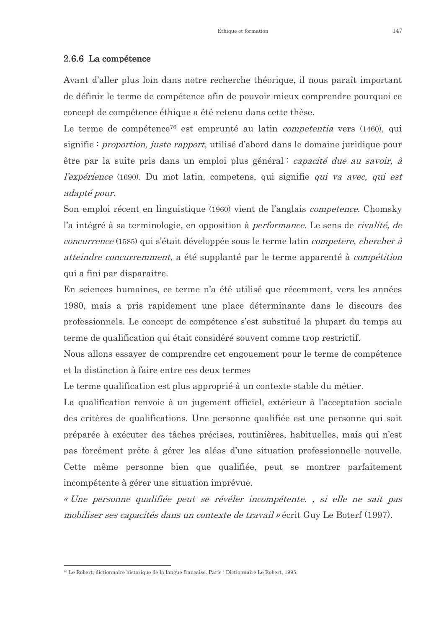#### 2.6.6 La compétence

Avant d'aller plus loin dans notre recherche théorique, il nous paraît important de définir le terme de compétence afin de pouvoir mieux comprendre pourquoi ce concept de compétence éthique a été retenu dans cette thèse.

Le terme de compétence<sup>76</sup> est emprunté au latin *competentia* vers (1460), qui signifie: *proportion, juste rapport*, utilisé d'abord dans le domaine juridique pour être par la suite pris dans un emploi plus général : capacité due au savoir, à *l'expérience* (1690). Du mot latin, competens, qui signifie *qui va avec, qui est* adapté pour.

Son emploi récent en linguistique (1960) vient de l'anglais *competence*. Chomsky l'a intégré à sa terminologie, en opposition à *performance*. Le sens de *rivalité*, de *concurrence* (1585) qui s'était développée sous le terme latin *competere*, *chercher à atteindre concurremment*, a été supplanté par le terme apparenté à *compétition* qui a fini par disparaître.

En sciences humaines, ce terme n'a été utilisé que récemment, vers les années 1980, mais a pris rapidement une place déterminante dans le discours des professionnels. Le concept de compétence s'est substitué la plupart du temps au terme de qualification qui était considéré souvent comme trop restrictif.

Nous allons essayer de comprendre cet engouement pour le terme de compétence et la distinction à faire entre ces deux termes

Le terme qualification est plus approprié à un contexte stable du métier.

La qualification renvoie à un jugement officiel, extérieur à l'acceptation sociale des critères de qualifications. Une personne qualifiée est une personne qui sait préparée à exécuter des tâches précises, routinières, habituelles, mais qui n'est pas forcément prête à gérer les aléas d'une situation professionnelle nouvelle. Cette même personne bien que qualifiée, peut se montrer parfaitement incompétente à gérer une situation imprévue.

« Une personne qualifiée peut se révéler incompétente. , si elle ne sait pas mobiliser ses capacités dans un contexte de travail » écrit Guy Le Boterf (1997).

<sup>&</sup>lt;sup>76</sup> Le Robert, dictionnaire historique de la langue française, Paris : Dictionnaire Le Robert, 1995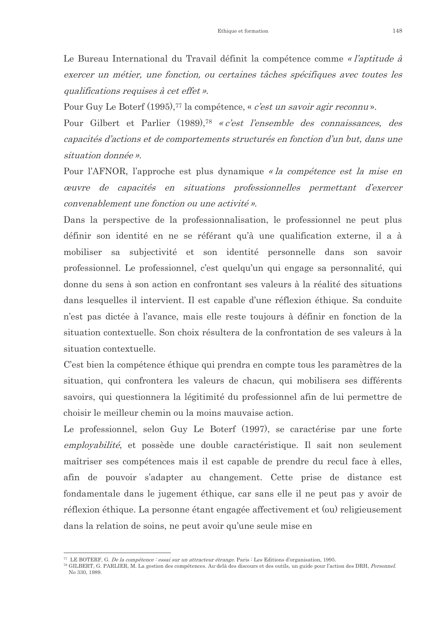Le Bureau International du Travail définit la compétence comme « l'aptitude à exercer un métier, une fonction, ou certaines tâches spécifiques avec toutes les qualifications requises à cet effet ».

Pour Guy Le Boterf (1995),<sup>77</sup> la compétence, « *c'est un savoir agir reconnu* ».

Pour Gilbert et Parlier (1989),<sup>78</sup> « c'est l'ensemble des connaissances, des capacités d'actions et de comportements structurés en fonction d'un but, dans une situation donnée ».

Pour l'AFNOR, l'approche est plus dynamique « la compétence est la mise en ceuvre de capacités en situations professionnelles permettant d'exercer convenablement une fonction ou une activité ».

Dans la perspective de la professionnalisation, le professionnel ne peut plus définir son identité en ne se référant qu'à une qualification externe, il a à mobiliser sa subjectivité et son identité personnelle dans son savoir professionnel. Le professionnel, c'est quelqu'un qui engage sa personnalité, qui donne du sens à son action en confrontant ses valeurs à la réalité des situations dans lesquelles il intervient. Il est capable d'une réflexion éthique. Sa conduite n'est pas dictée à l'avance, mais elle reste toujours à définir en fonction de la situation contextuelle. Son choix résultera de la confrontation de ses valeurs à la situation contextuelle.

C'est bien la compétence éthique qui prendra en compte tous les paramètres de la situation, qui confrontera les valeurs de chacun, qui mobilisera ses différents savoirs, qui questionnera la légitimité du professionnel afin de lui permettre de choisir le meilleur chemin ou la moins mauvaise action.

Le professionnel, selon Guy Le Boterf (1997), se caractérise par une forte *emplovabilité*, et possède une double caractéristique. Il sait non seulement maîtriser ses compétences mais il est capable de prendre du recul face à elles, afin de pouvoir s'adapter au changement. Cette prise de distance est fondamentale dans le jugement éthique, car sans elle il ne peut pas y avoir de réflexion éthique. La personne étant engagée affectivement et (ou) religieusement dans la relation de soins, ne peut avoir qu'une seule mise en

<sup>&</sup>lt;sup>77</sup> LE BOTERF, G. *De la compétence : essai sur un attracteur étrange*. Paris : Les Editions d'organisation, 1995.

<sup>78</sup> GILBERT, G. PARLIER, M. La gestion des compétences. Au delà des discours et des outils, un guide pour l'action des DRH, Personnel. No 330 1989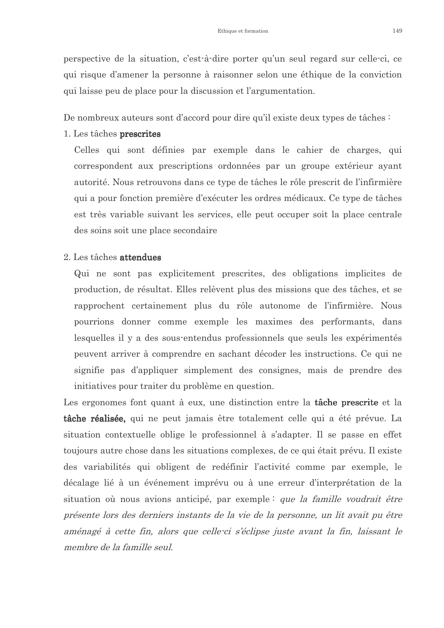perspective de la situation, c'est-à-dire porter qu'un seul regard sur celle-ci, ce qui risque d'amener la personne à raisonner selon une éthique de la conviction qui laisse peu de place pour la discussion et l'argumentation.

De nombreux auteurs sont d'accord pour dire qu'il existe deux types de tâches :

1. Les tâches prescrites

Celles qui sont définies par exemple dans le cahier de charges, qui correspondent aux prescriptions ordonnées par un groupe extérieur ayant autorité. Nous retrouvons dans ce type de tâches le rôle prescrit de l'infirmière qui a pour fonction première d'exécuter les ordres médicaux. Ce type de tâches est très variable suivant les services, elle peut occuper soit la place centrale des soins soit une place secondaire

#### 2. Les tâches attendues

Qui ne sont pas explicitement prescrites, des obligations implicites de production, de résultat. Elles relèvent plus des missions que des tâches, et se rapprochent certainement plus du rôle autonome de l'infirmière. Nous pourrions donner comme exemple les maximes des performants, dans lesquelles il y a des sous-entendus professionnels que seuls les expérimentés peuvent arriver à comprendre en sachant décoder les instructions. Ce qui ne signifie pas d'appliquer simplement des consignes, mais de prendre des initiatives pour traiter du problème en question.

Les ergonomes font quant à eux, une distinction entre la tâche prescrite et la **tâche réalisée**, qui ne peut jamais être totalement celle qui a été prévue. La situation contextuelle oblige le professionnel à s'adapter. Il se passe en effet toujours autre chose dans les situations complexes, de ce qui était prévu. Il existe des variabilités qui obligent de redéfinir l'activité comme par exemple, le décalage lié à un événement imprévu ou à une erreur d'interprétation de la situation où nous avions anticipé, par exemple: que la famille voudrait être présente lors des derniers instants de la vie de la personne, un lit avait pu être aménagé à cette fin, alors que celle-ci s'éclipse juste avant la fin, laissant le membre de la famille seul.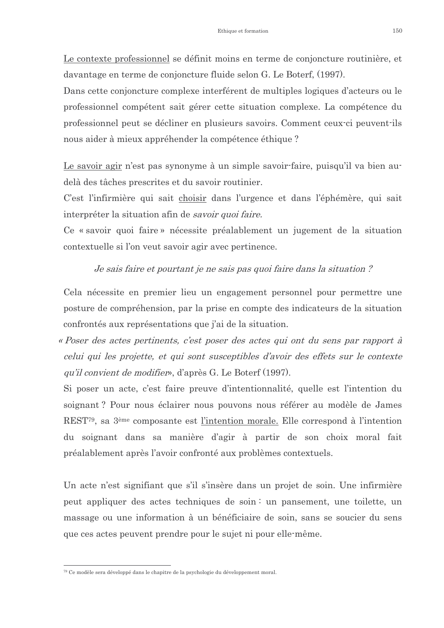Le contexte professionnel se définit moins en terme de conjoncture routinière, et davantage en terme de conjoncture fluide selon G. Le Boterf, (1997).

Dans cette conjoncture complexe interférent de multiples logiques d'acteurs ou le professionnel compétent sait gérer cette situation complexe. La compétence du professionnel peut se décliner en plusieurs savoirs. Comment ceux-ci peuvent-ils nous aider à mieux appréhender la compétence éthique?

Le savoir agir n'est pas synonyme à un simple savoir-faire, puisqu'il va bien audelà des tâches prescrites et du savoir routinier.

C'est l'infirmière qui sait choisir dans l'urgence et dans l'éphémère, qui sait interpréter la situation afin de savoir quoi faire.

Ce « savoir quoi faire » nécessite préalablement un jugement de la situation contextuelle si l'on veut savoir agir avec pertinence.

Je sais faire et pourtant je ne sais pas quoi faire dans la situation?

Cela nécessite en premier lieu un engagement personnel pour permettre une posture de compréhension, par la prise en compte des indicateurs de la situation confrontés aux représentations que j'ai de la situation.

« Poser des actes pertinents, c'est poser des actes qui ont du sens par rapport à celui qui les projette, et qui sont susceptibles d'avoir des effets sur le contexte *gu'il convient de modifier*, d'après G. Le Boterf (1997).

Si poser un acte, c'est faire preuve d'intentionnalité, quelle est l'intention du soignant? Pour nous éclairer nous pouvons nous référer au modèle de James REST<sup>79</sup>, sa 3<sup>ème</sup> composante est l'intention morale. Elle correspond à l'intention du soignant dans sa manière d'agir à partir de son choix moral fait préalablement après l'avoir confronté aux problèmes contextuels.

Un acte n'est signifiant que s'il s'insère dans un projet de soin. Une infirmière peut appliquer des actes techniques de soin : un pansement, une toilette, un massage ou une information à un bénéficiaire de soin, sans se soucier du sens que ces actes peuvent prendre pour le sujet ni pour elle-même.

<sup>&</sup>lt;sup>79</sup> Ce modèle sera développé dans le chapitre de la psychologie du développement moral.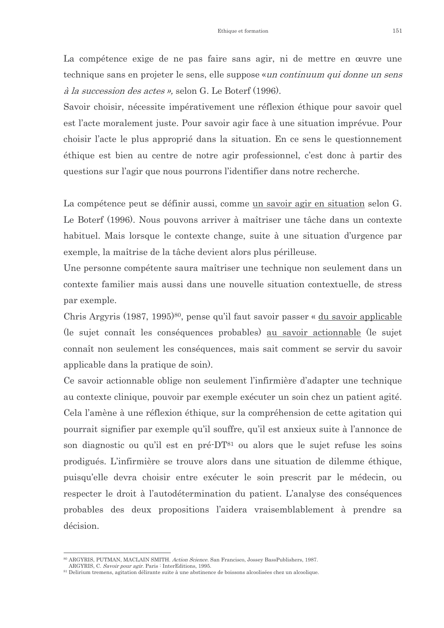La compétence exige de ne pas faire sans agir, ni de mettre en œuvre une technique sans en projeter le sens, elle suppose «un continuum qui donne un sens *à la succession des actes* », selon G. Le Boterf (1996).

Savoir choisir, nécessite impérativement une réflexion éthique pour savoir quel est l'acte moralement juste. Pour savoir agir face à une situation imprévue. Pour choisir l'acte le plus approprié dans la situation. En ce sens le questionnement éthique est bien au centre de notre agir professionnel, c'est donc à partir des questions sur l'agir que nous pourrons l'identifier dans notre recherche.

La compétence peut se définir aussi, comme un savoir agir en situation selon G. Le Boterf (1996). Nous pouvons arriver à maîtriser une tâche dans un contexte habituel. Mais lorsque le contexte change, suite à une situation d'urgence par exemple, la maîtrise de la tâche devient alors plus périlleuse.

Une personne compétente saura maîtriser une technique non seulement dans un contexte familier mais aussi dans une nouvelle situation contextuelle, de stress par exemple.

Chris Argyris (1987, 1995)<sup>80</sup>, pense qu'il faut savoir passer « du savoir applicable (le sujet connaît les conséquences probables) au savoir actionnable (le sujet connaît non seulement les conséquences, mais sait comment se servir du savoir applicable dans la pratique de soin).

Ce savoir actionnable oblige non seulement l'infirmière d'adapter une technique au contexte clinique, pouvoir par exemple exécuter un soin chez un patient agité. Cela l'amène à une réflexion éthique, sur la compréhension de cette agitation qui pourrait signifier par exemple qu'il souffre, qu'il est anxieux suite à l'annonce de son diagnostic ou qu'il est en pré-DT<sup>81</sup> ou alors que le sujet refuse les soins prodigués. L'infirmière se trouve alors dans une situation de dilemme éthique, puisqu'elle devra choisir entre exécuter le soin prescrit par le médecin, ou respecter le droit à l'autodétermination du patient. L'analyse des conséquences probables des deux propositions l'aidera vraisemblablement à prendre sa décision.

<sup>80</sup> ARGYRIS, PUTMAN, MACLAIN SMITH. Action Science. San Francisco, Jossey BassPublishers, 1987.

ARGYRIS, C. Savoir pour agir. Paris : InterEditions, 1995.

<sup>&</sup>lt;sup>81</sup> Delirium tremens, agitation délirante suite à une abstinence de boissons alcoolisées chez un alcoolique.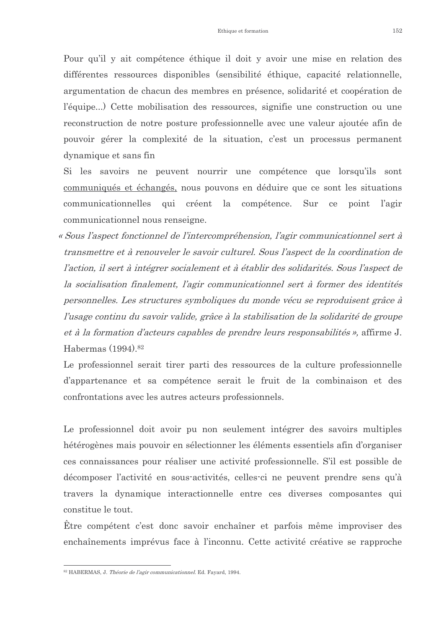Pour qu'il y ait compétence éthique il doit y avoir une mise en relation des différentes ressources disponibles (sensibilité éthique, capacité relationnelle, argumentation de chacun des membres en présence, solidarité et coopération de l'équipe...) Cette mobilisation des ressources, signifie une construction ou une reconstruction de notre posture professionnelle avec une valeur ajoutée afin de pouvoir gérer la complexité de la situation, c'est un processus permanent dynamique et sans fin

Si les savoirs ne peuvent nourrir une compétence que lorsqu'ils sont communiqués et échangés, nous pouvons en déduire que ce sont les situations communicationnelles qui créent la compétence. Sur point l'agir  $ce$ communicationnel nous renseigne.

« Sous l'aspect fonctionnel de l'intercompréhension, l'agir communicationnel sert à transmettre et à renouveler le savoir culturel. Sous l'aspect de la coordination de l'action, il sert à intégrer socialement et à établir des solidarités. Sous l'aspect de la socialisation finalement, l'agir communicationnel sert à former des identités personnelles. Les structures symboliques du monde vécu se reproduisent grâce à l'usage continu du savoir valide, grâce à la stabilisation de la solidarité de groupe et à la formation d'acteurs capables de prendre leurs responsabilités », affirme J. Habermas (1994).<sup>82</sup>

Le professionnel serait tirer parti des ressources de la culture professionnelle d'appartenance et sa compétence serait le fruit de la combinaison et des confrontations avec les autres acteurs professionnels.

Le professionnel doit avoir pu non seulement intégrer des savoirs multiples hétérogènes mais pouvoir en sélectionner les éléments essentiels afin d'organiser ces connaissances pour réaliser une activité professionnelle. S'il est possible de décomposer l'activité en sous-activités, celles-ci ne peuvent prendre sens qu'à travers la dynamique interactionnelle entre ces diverses composantes qui constitue le tout.

Être compétent c'est donc savoir enchaîner et parfois même improviser des enchaînements imprévus face à l'inconnu. Cette activité créative se rapproche

<sup>&</sup>lt;sup>82</sup> HABERMAS J *Théorie de l'agir communicationnel* Ed Fayard 1994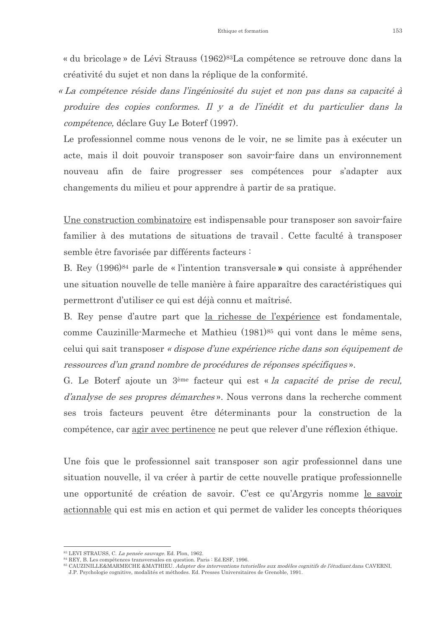« du bricolage » de Lévi Strauss (1962)<sup>83</sup>La compétence se retrouve donc dans la créativité du sujet et non dans la réplique de la conformité.

« La compétence réside dans l'ingéniosité du sujet et non pas dans sa capacité à produire des copies conformes. Il y a de l'inédit et du particulier dans la *compétence*, déclare Guy Le Boterf (1997).

Le professionnel comme nous venons de le voir, ne se limite pas à exécuter un acte, mais il doit pouvoir transposer son savoir-faire dans un environnement nouveau afin de faire progresser ses compétences pour s'adapter aux changements du milieu et pour apprendre à partir de sa pratique.

Une construction combinatoire est indispensable pour transposer son savoir-faire familier à des mutations de situations de travail. Cette faculté à transposer semble être favorisée par différents facteurs :

B. Rey (1996)<sup>84</sup> parle de « l'intention transversale » qui consiste à appréhender une situation nouvelle de telle manière à faire apparaître des caractéristiques qui permettront d'utiliser ce qui est déjà connu et maîtrisé.

B. Rey pense d'autre part que la richesse de l'expérience est fondamentale, comme Cauzinille-Marmeche et Mathieu (1981)<sup>85</sup> qui vont dans le même sens, celui qui sait transposer « dispose d'une expérience riche dans son équipement de ressources d'un grand nombre de procédures de réponses spécifiques ».

G. Le Boterf ajoute un 3<sup>ème</sup> facteur qui est « la capacité de prise de recul, *d'analyse de ses propres démarches*». Nous verrons dans la recherche comment ses trois facteurs peuvent être déterminants pour la construction de la compétence, car agir avec pertinence ne peut que relever d'une réflexion éthique.

Une fois que le professionnel sait transposer son agir professionnel dans une situation nouvelle, il va créer à partir de cette nouvelle pratique professionnelle une opportunité de création de savoir. C'est ce qu'Argyris nomme le savoir actionnable qui est mis en action et qui permet de valider les concepts théoriques

<sup>&</sup>lt;sup>3</sup> LEVI STRAUSS, C. La pensée sauvage. Ed. Plon, 1962.

<sup>84</sup> REY, B. Les compétences transversales en question. Paris : Ed.ESF, 1996.

<sup>&</sup>lt;sup>85</sup> CAUZINILLE&MARMECHE &MATHIEU. Adapter des interventions tutorielles aux modèles cognitifs de l'étudiant dans CAVERNI, J.P. Psychologie cognitive, modalités et méthodes. Ed. Presses Universitaires de Grenoble, 1991.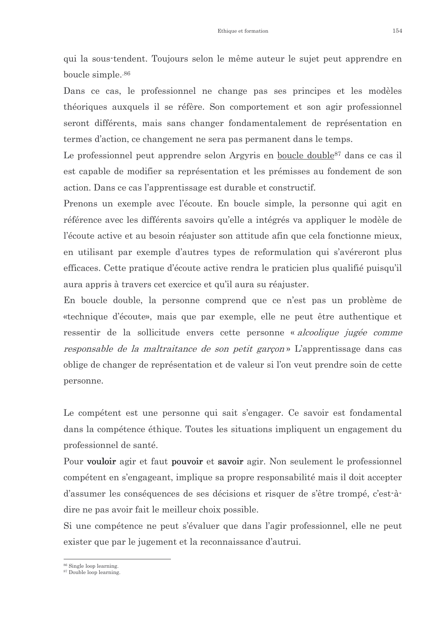qui la sous-tendent. Toujours selon le même auteur le sujet peut apprendre en boucle simple.<sup>86</sup>

Dans ce cas, le professionnel ne change pas ses principes et les modèles théoriques auxquels il se réfère. Son comportement et son agir professionnel seront différents, mais sans changer fondamentalement de représentation en termes d'action, ce changement ne sera pas permanent dans le temps.

Le professionnel peut apprendre selon Argyris en boucle double<sup>87</sup> dans ce cas il est capable de modifier sa représentation et les prémisses au fondement de son action. Dans ce cas l'apprentissage est durable et constructif.

Prenons un exemple avec l'écoute. En boucle simple, la personne qui agit en référence avec les différents savoirs qu'elle a intégrés va appliquer le modèle de l'écoute active et au besoin réajuster son attitude afin que cela fonctionne mieux, en utilisant par exemple d'autres types de reformulation qui s'avéreront plus efficaces. Cette pratique d'écoute active rendra le praticien plus qualifié puisqu'il aura appris à travers cet exercice et qu'il aura su réajuster.

En boucle double, la personne comprend que ce n'est pas un problème de «technique d'écoute», mais que par exemple, elle ne peut être authentique et ressentir de la sollicitude envers cette personne « alcoolique jugée comme responsable de la maltraitance de son petit garçon» L'apprentissage dans cas oblige de changer de représentation et de valeur si l'on veut prendre soin de cette personne.

Le compétent est une personne qui sait s'engager. Ce savoir est fondamental dans la compétence éthique. Toutes les situations impliquent un engagement du professionnel de santé.

Pour vouloir agir et faut pouvoir et savoir agir. Non seulement le professionnel compétent en s'engageant, implique sa propre responsabilité mais il doit accepter d'assumer les conséquences de ses décisions et risquer de s'être trompé, c'est-àdire ne pas avoir fait le meilleur choix possible.

Si une compétence ne peut s'évaluer que dans l'agir professionnel, elle ne peut exister que par le jugement et la reconnaissance d'autrui.

 $86$  Single loop learning

 $87$  Double loop learning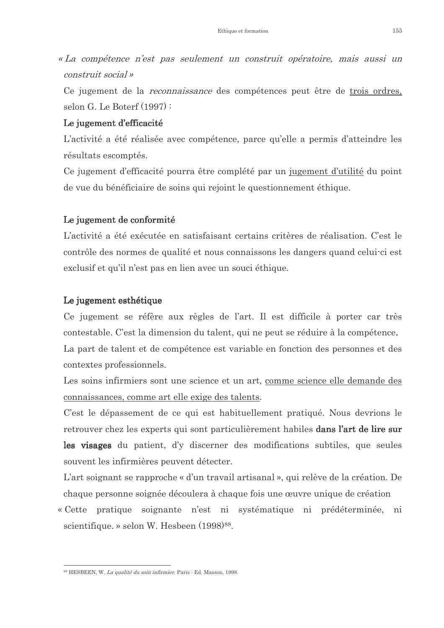«La compétence n'est pas seulement un construit opératoire, mais aussi un construit social »

Ce jugement de la *reconnaissance* des compétences peut être de trois ordres, selon G. Le Boterf  $(1997)$ :

#### Le jugement d'efficacité

L'activité a été réalisée avec compétence, parce qu'elle a permis d'atteindre les résultats escomptés.

Ce jugement d'efficacité pourra être complété par un jugement d'utilité du point de vue du bénéficiaire de soins qui rejoint le questionnement éthique.

#### Le jugement de conformité

L'activité a été exécutée en satisfaisant certains critères de réalisation. C'est le contrôle des normes de qualité et nous connaissons les dangers quand celui-ci est exclusif et qu'il n'est pas en lien avec un souci éthique.

#### Le jugement esthétique

Ce jugement se réfère aux règles de l'art. Il est difficile à porter car très contestable. C'est la dimension du talent, qui ne peut se réduire à la compétence. La part de talent et de compétence est variable en fonction des personnes et des contextes professionnels.

Les soins infirmiers sont une science et un art, comme science elle demande des connaissances, comme art elle exige des talents.

C'est le dépassement de ce qui est habituellement pratiqué. Nous devrions le retrouver chez les experts qui sont particulièrement habiles dans l'art de lire sur les visages du patient, d'y discerner des modifications subtiles, que seules souvent les infirmières peuvent détecter.

L'art soignant se rapproche « d'un travail artisanal », qui relève de la création. De chaque personne soignée découlera à chaque fois une œuvre unique de création

« Cette pratique soignante n'est ni systématique ni prédéterminée, ni scientifique. » selon W. Hesbeen (1998)<sup>88</sup>.

<sup>88</sup> HESBEEN, W. La qualité du soin infirmier. Paris : Ed. Masson, 1998.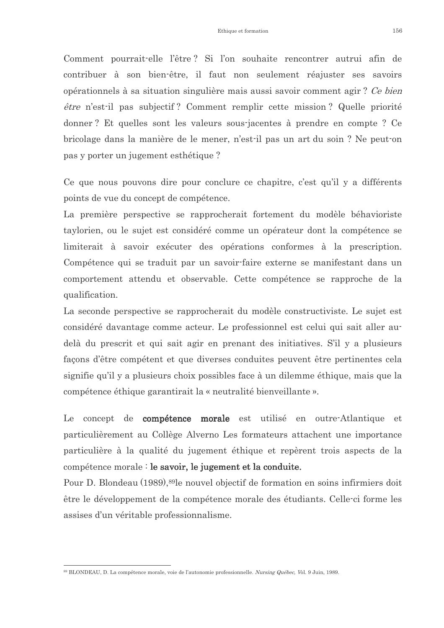Comment pourrait-elle l'être? Si l'on souhaite rencontrer autrui afin de contribuer à son bien-être, il faut non seulement réajuster ses savoirs opérationnels à sa situation singulière mais aussi savoir comment agir? Ce bien être n'est-il pas subjectif? Comment remplir cette mission? Quelle priorité donner? Et quelles sont les valeurs sous-jacentes à prendre en compte? Ce bricolage dans la manière de le mener, n'est-il pas un art du soin ? Ne peut-on pas y porter un jugement esthétique?

Ce que nous pouvons dire pour conclure ce chapitre, c'est qu'il y a différents points de vue du concept de compétence.

La première perspective se rapprocherait fortement du modèle béhavioriste taylorien, ou le sujet est considéré comme un opérateur dont la compétence se limiterait à savoir exécuter des opérations conformes à la prescription. Compétence qui se traduit par un savoir-faire externe se manifestant dans un comportement attendu et observable. Cette compétence se rapproche de la qualification.

La seconde perspective se rapprocherait du modèle constructiviste. Le sujet est considéré davantage comme acteur. Le professionnel est celui qui sait aller audelà du prescrit et qui sait agir en prenant des initiatives. S'il y a plusieurs façons d'être compétent et que diverses conduites peuvent être pertinentes cela signifie qu'il y a plusieurs choix possibles face à un dilemme éthique, mais que la compétence éthique garantirait la « neutralité bienveillante ».

Le concept de **compétence morale** est utilisé en outre-Atlantique et particulièrement au Collège Alverno Les formateurs attachent une importance particulière à la qualité du jugement éthique et repèrent trois aspects de la compétence morale : le savoir, le jugement et la conduite.

Pour D. Blondeau (1989), <sup>89</sup>le nouvel objectif de formation en soins infirmiers doit être le développement de la compétence morale des étudiants. Celle-ci forme les assises d'un véritable professionnalisme.

<sup>89</sup> BLONDEAU D. La compétence morale, voie de l'autonomie professionnelle Nursing Québec Vol. 9 Juin 1989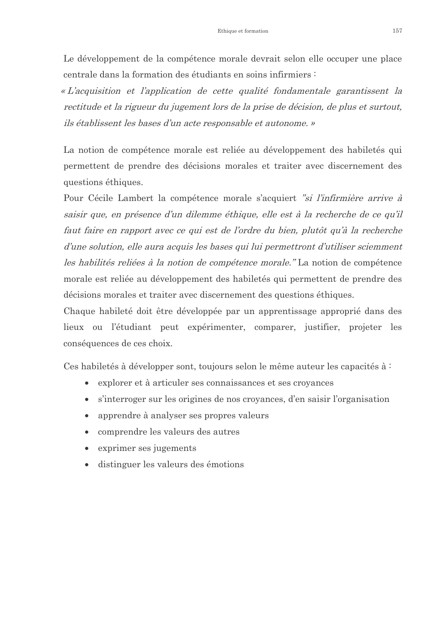Le développement de la compétence morale devrait selon elle occuper une place centrale dans la formation des étudiants en soins infirmiers :

« L'acquisition et l'application de cette qualité fondamentale garantissent la rectitude et la rigueur du jugement lors de la prise de décision, de plus et surtout, ils établissent les bases d'un acte responsable et autonome. »

La notion de compétence morale est reliée au développement des habiletés qui permettent de prendre des décisions morales et traiter avec discernement des questions éthiques.

Pour Cécile Lambert la compétence morale s'acquiert "si l'infirmière arrive à saisir que, en présence d'un dilemme éthique, elle est à la recherche de ce qu'il faut faire en rapport avec ce qui est de l'ordre du bien, plutôt qu'à la recherche d'une solution, elle aura acquis les bases qui lui permettront d'utiliser sciemment les habilités reliées à la notion de compétence morale." La notion de compétence morale est reliée au développement des habiletés qui permettent de prendre des décisions morales et traiter avec discernement des questions éthiques.

Chaque habileté doit être développée par un apprentissage approprié dans des lieux ou l'étudiant peut expérimenter, comparer, justifier, projeter les conséquences de ces choix.

Ces habiletés à développer sont, toujours selon le même auteur les capacités à:

- explorer et à articuler ses connaissances et ses croyances  $\bullet$
- s'interroger sur les origines de nos croyances, d'en saisir l'organisation  $\bullet$
- apprendre à analyser ses propres valeurs  $\bullet$
- comprendre les valeurs des autres  $\bullet$
- exprimer ses jugements  $\bullet$
- distinguer les valeurs des émotions  $\bullet$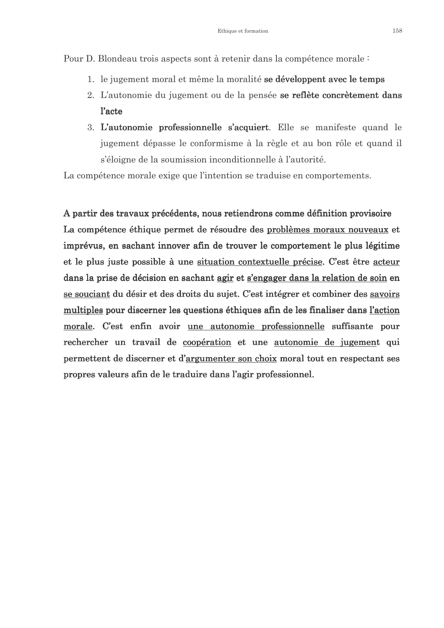Pour D. Blondeau trois aspects sont à retenir dans la compétence morale :

- 1. le jugement moral et même la moralité se développent avec le temps
- 2. L'autonomie du jugement ou de la pensée se reflète concrètement dans *l'acte*
- 3. L'autonomie professionnelle s'acquiert. Elle se manifeste quand le jugement dépasse le conformisme à la règle et au bon rôle et quand il s'éloigne de la soumission inconditionnelle à l'autorité.

La compétence morale exige que l'intention se traduise en comportements.

A partir des travaux précédents, nous retiendrons comme définition provisoire La compétence éthique permet de résoudre des problèmes moraux nouveaux et imprévus, en sachant innover afin de trouver le comportement le plus légitime et le plus juste possible à une situation contextuelle précise. C'est être acteur dans la prise de décision en sachant agir et s'engager dans la relation de soin en se souciant du désir et des droits du sujet. C'est intégrer et combiner des savoirs multiples pour discerner les questions éthiques afin de les finaliser dans l'action morale. C'est enfin avoir une autonomie professionnelle suffisante pour rechercher un travail de coopération et une autonomie de jugement qui permettent de discerner et d'argumenter son choix moral tout en respectant ses propres valeurs afin de le traduire dans l'agir professionnel.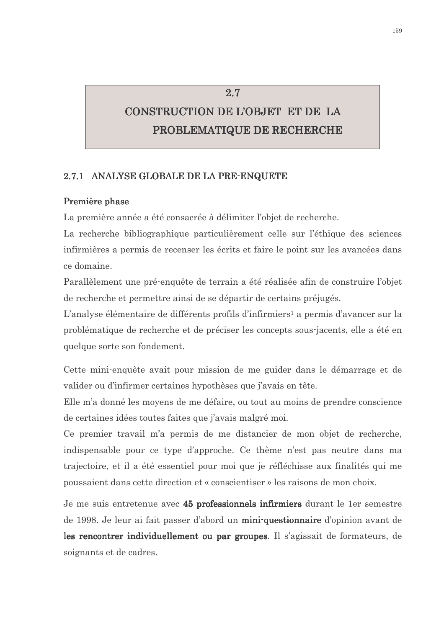# CONSTRUCTION DE L'OBJET ET DE LA PROBLEMATIQUE DE RECHERCHE

 $2.7$ 

#### 2.7.1 ANALYSE GLOBALE DE LA PRE-ENQUETE

#### Première phase

La première année a été consacrée à délimiter l'obiet de recherche.

La recherche bibliographique particulièrement celle sur l'éthique des sciences infirmières a permis de recenser les écrits et faire le point sur les avancées dans ce domaine.

Parallèlement une pré-enquête de terrain a été réalisée afin de construire l'objet de recherche et permettre ainsi de se départir de certains préjugés.

L'analyse élémentaire de différents profils d'infirmiers<sup>1</sup> a permis d'avancer sur la problématique de recherche et de préciser les concepts sous-jacents, elle a été en quelque sorte son fondement.

Cette mini-enquête avait pour mission de me guider dans le démarrage et de valider ou d'infirmer certaines hypothèses que j'avais en tête.

Elle m'a donné les moyens de me défaire, ou tout au moins de prendre conscience de certaines idées toutes faites que j'avais malgré moi.

Ce premier travail m'a permis de me distancier de mon objet de recherche, indispensable pour ce type d'approche. Ce thème n'est pas neutre dans ma trajectoire, et il a été essentiel pour moi que je réfléchisse aux finalités qui me poussaient dans cette direction et « conscientiser » les raisons de mon choix.

Je me suis entretenue avec 45 professionnels infirmiers durant le 1er semestre de 1998. Je leur ai fait passer d'abord un mini-questionnaire d'opinion avant de les rencontrer individuellement ou par groupes. Il s'agissait de formateurs, de soignants et de cadres.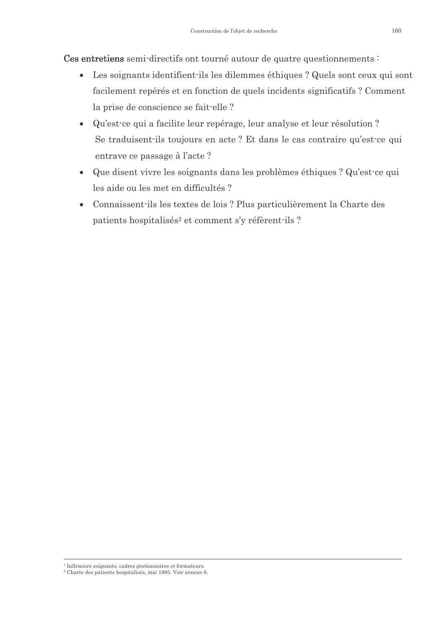Ces entretiens semi-directifs ont tourné autour de quatre questionnements :

- Les soignants identifient ils les dilemmes éthiques ? Quels sont ceux qui sont facilement repérés et en fonction de quels incidents significatifs ? Comment la prise de conscience se fait-elle ?
- Qu'est-ce qui a facilite leur repérage, leur analyse et leur résolution ? Se traduisent ils toujours en acte? Et dans le cas contraire qu'est ce qui entrave ce passage à l'acte ?
- Que disent vivre les soignants dans les problèmes éthiques ? Qu'est-ce qui  $\bullet$ les aide ou les met en difficultés ?
- Connaissent ils les textes de lois ? Plus particulièrement la Charte des  $\bullet$ patients hospitalisés<sup>2</sup> et comment s'y réfèrent-ils ?

<sup>&</sup>lt;sup>1</sup> Infirmiers soignants, cadres gestionnaires et formateurs.

<sup>&</sup>lt;sup>2</sup> Charte des patients hospitalisés, mai 1995. Voir annexe 6.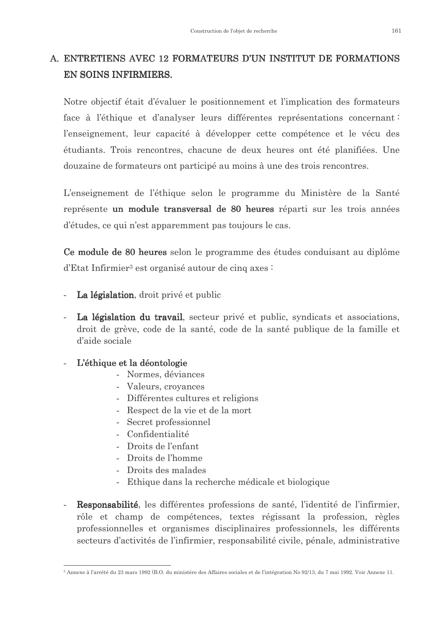### A. ENTRETIENS AVEC 12 FORMATEURS D'UN INSTITUT DE FORMATIONS **EN SOINS INFIRMIERS.**

Notre objectif était d'évaluer le positionnement et l'implication des formateurs face à l'éthique et d'analyser leurs différentes représentations concernant : l'enseignement, leur capacité à développer cette compétence et le vécu des étudiants. Trois rencontres, chacune de deux heures ont été planifiées. Une douzaine de formateurs ont participé au moins à une des trois rencontres.

L'enseignement de l'éthique selon le programme du Ministère de la Santé représente un module transversal de 80 heures réparti sur les trois années d'études, ce qui n'est apparemment pas toujours le cas.

Ce module de 80 heures selon le programme des études conduisant au diplôme d'Etat Infirmier<sup>3</sup> est organisé autour de cinq axes :

- La législation, droit privé et public
- La législation du travail, secteur privé et public, syndicats et associations, droit de grève, code de la santé, code de la santé publique de la famille et d'aide sociale

### L'éthique et la déontologie

- Normes, déviances
- Valeurs, croyances
- Différentes cultures et religions
- Respect de la vie et de la mort
- Secret professionnel
- Confidentialité
- Droits de l'enfant
- Droits de l'homme
- Droits des malades
- Ethique dans la recherche médicale et biologique
- Responsabilité, les différentes professions de santé, l'identité de l'infirmier, rôle et champ de compétences, textes régissant la profession, règles professionnelles et organismes disciplinaires professionnels, les différents secteurs d'activités de l'infirmier, responsabilité civile, pénale, administrative

<sup>&</sup>lt;sup>3</sup> Annexe à l'arrêté du 23 mars 1992 (B.O. du ministère des Affaires sociales et de l'intégration No 92/13, du 7 mai 1992. Voir Annexe 11.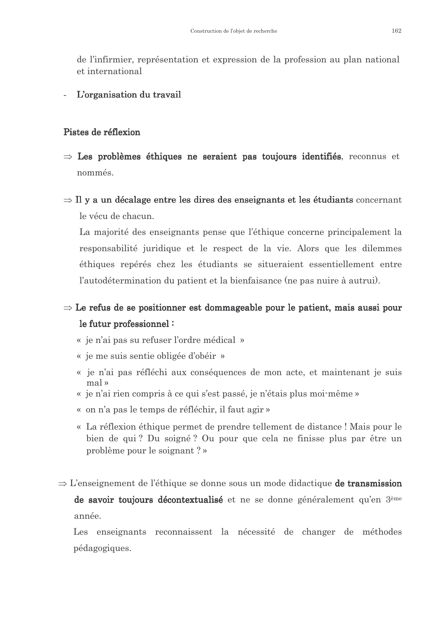de l'infirmier, représentation et expression de la profession au plan national et international

#### L'organisation du travail

#### Pistes de réflexion

- $\Rightarrow$  Les problèmes éthiques ne seraient pas toujours identifiés, reconnus et nommés.
- $\Rightarrow$  Il y a un décalage entre les dires des enseignants et les étudiants concernant le vécu de chacun.

La majorité des enseignants pense que l'éthique concerne principalement la responsabilité juridique et le respect de la vie. Alors que les dilemmes éthiques repérés chez les étudiants se situeraient essentiellement entre l'autodétermination du patient et la bienfaisance (ne pas nuire à autrui).

## $\Rightarrow$  Le refus de se positionner est dommageable pour le patient, mais aussi pour le futur professionnel:

- « je n'ai pas su refuser l'ordre médical »
- « je me suis sentie obligée d'obéir »
- « je n'ai pas réfléchi aux conséquences de mon acte, et maintenant je suis mal »
- « je n'ai rien compris à ce qui s'est passé, je n'étais plus moi-même »
- « on n'a pas le temps de réfléchir, il faut agir »
- « La réflexion éthique permet de prendre tellement de distance ! Mais pour le bien de qui? Du soigné? Ou pour que cela ne finisse plus par être un problème pour le soignant ?»
- $\Rightarrow$  L'enseignement de l'éthique se donne sous un mode didactique de transmission de savoir toujours décontextualisé et ne se donne généralement qu'en 3<sup>ème</sup> année.

Les enseignants reconnaissent la nécessité de changer de méthodes pédagogiques.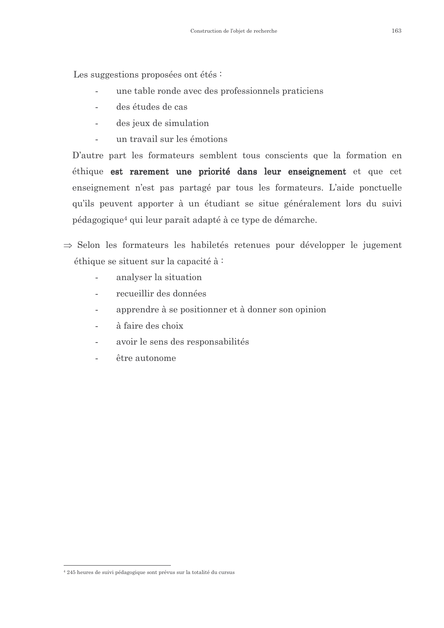Les suggestions proposées ont étés :

- une table ronde avec des professionnels praticiens  $\mathbf{r}$
- des études de cas
- des jeux de simulation  $\sim$
- un travail sur les émotions  $\sim$

D'autre part les formateurs semblent tous conscients que la formation en éthique est rarement une priorité dans leur enseignement et que cet enseignement n'est pas partagé par tous les formateurs. L'aide ponctuelle qu'ils peuvent apporter à un étudiant se situe généralement lors du suivi pédagogique<sup>4</sup> qui leur paraît adapté à ce type de démarche.

- $\Rightarrow$  Selon les formateurs les habiletés retenues pour développer le jugement éthique se situent sur la capacité à:
	- analyser la situation
	- recueillir des données
	- apprendre à se positionner et à donner son opinion
	- à faire des choix
	- avoir le sens des responsabilités
	- être autonome

<sup>&</sup>lt;sup>4</sup> 245 heures de suivi pédagogique sont prévus sur la totalité du cursus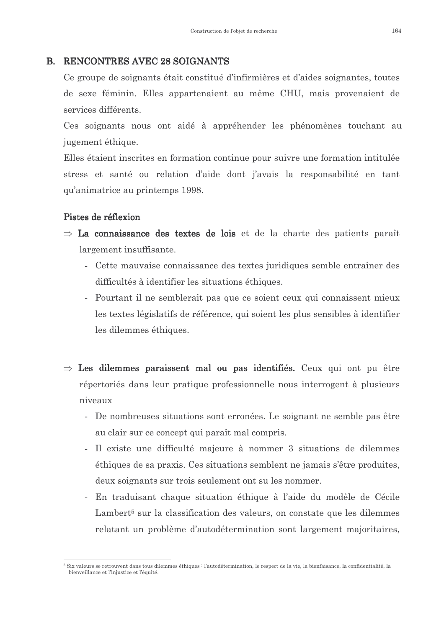#### **B. RENCONTRES AVEC 28 SOIGNANTS**

Ce groupe de soignants était constitué d'infirmières et d'aides soignantes, toutes de sexe féminin. Elles appartenaient au même CHU, mais provenaient de services différents.

Ces soignants nous ont aidé à appréhender les phénomènes touchant au jugement éthique.

Elles étaient inscrites en formation continue pour suivre une formation intitulée stress et santé ou relation d'aide dont j'avais la responsabilité en tant qu'animatrice au printemps 1998.

#### Pistes de réflexion

- $\Rightarrow$  La connaissance des textes de lois et de la charte des patients paraît largement insuffisante.
	- Cette mauvaise connaissance des textes juridiques semble entraîner des difficultés à identifier les situations éthiques.
	- Pourtant il ne semblerait pas que ce soient ceux qui connaissent mieux les textes législatifs de référence, qui soient les plus sensibles à identifier les dilemmes éthiques.
- $\Rightarrow$  Les dilemmes paraissent mal ou pas identifiés. Ceux qui ont pu être répertoriés dans leur pratique professionnelle nous interrogent à plusieurs niveaux
	- De nombreuses situations sont erronées. Le soignant ne semble pas être au clair sur ce concept qui paraît mal compris.
	- Il existe une difficulté majeure à nommer 3 situations de dilemmes éthiques de sa praxis. Ces situations semblent ne jamais s'être produites, deux soignants sur trois seulement ont su les nommer.
	- En traduisant chaque situation éthique à l'aide du modèle de Cécile Lambert<sup>5</sup> sur la classification des valeurs, on constate que les dilemmes relatant un problème d'autodétermination sont largement majoritaires,

<sup>&</sup>lt;sup>5</sup> Six valeurs se retrouvent dans tous dilemmes éthiques : l'autodétermination le respect de la vie, la bienfaisance, la confidentialité, la bienveillance et l'iniustice et l'équité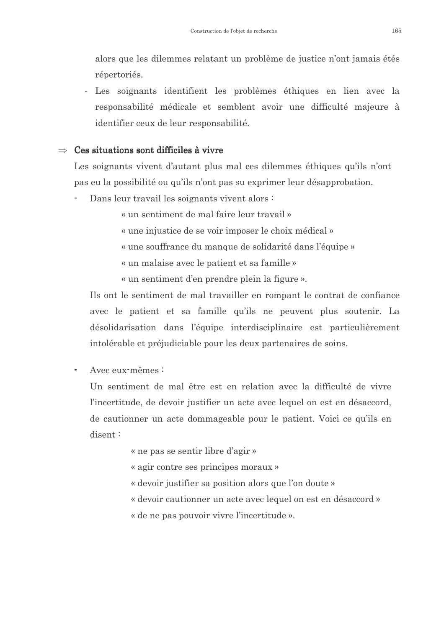alors que les dilemmes relatant un problème de justice n'ont jamais étés répertoriés.

- Les soignants identifient les problèmes éthiques en lien avec la responsabilité médicale et semblent avoir une difficulté majeure à identifier ceux de leur responsabilité.

#### $\Rightarrow$  Ces situations sont difficiles à vivre

Les soignants vivent d'autant plus mal ces dilemmes éthiques qu'ils n'ont pas eu la possibilité ou qu'ils n'ont pas su exprimer leur désapprobation.

Dans leur travail les soignants vivent alors :

« un sentiment de mal faire leur travail »

« une injustice de se voir imposer le choix médical »

« une souffrance du manque de solidarité dans l'équipe »

« un malaise avec le patient et sa famille »

« un sentiment d'en prendre plein la figure ».

Ils ont le sentiment de mal travailler en rompant le contrat de confiance avec le patient et sa famille qu'ils ne peuvent plus soutenir. La désolidarisation dans l'équipe interdisciplinaire est particulièrement intolérable et préjudiciable pour les deux partenaires de soins.

Avec eux-mêmes :

Un sentiment de mal être est en relation avec la difficulté de vivre l'incertitude, de devoir justifier un acte avec lequel on est en désaccord, de cautionner un acte dommageable pour le patient. Voici ce qu'ils en  $disent:$ 

« ne pas se sentir libre d'agir »

« agir contre ses principes moraux »

- « devoir justifier sa position alors que l'on doute »
- « devoir cautionner un acte avec lequel on est en désaccord »
- « de ne pas pouvoir vivre l'incertitude ».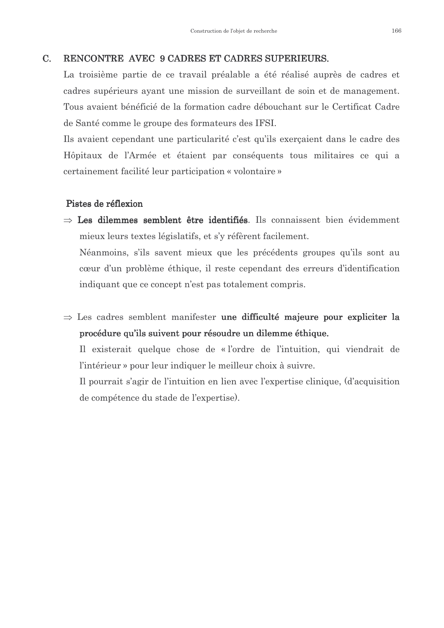#### RENCONTRE AVEC 9 CADRES ET CADRES SUPERIEURS.  $C_{\cdot}$

La troisième partie de ce travail préalable a été réalisé auprès de cadres et cadres supérieurs ayant une mission de surveillant de soin et de management. Tous avaient bénéficié de la formation cadre débouchant sur le Certificat Cadre de Santé comme le groupe des formateurs des IFSI.

Ils avaient cependant une particularité c'est qu'ils exerçaient dans le cadre des Hôpitaux de l'Armée et étaient par conséquents tous militaires ce qui a certainement facilité leur participation « volontaire »

#### Pistes de réflexion

 $\Rightarrow$  Les dilemmes semblent être identifiés. Ils connaissent bien évidemment mieux leurs textes législatifs, et s'y réfèrent facilement.

Néanmoins, s'ils savent mieux que les précédents groupes qu'ils sont au cœur d'un problème éthique, il reste cependant des erreurs d'identification indiquant que ce concept n'est pas totalement compris.

 $\Rightarrow$  Les cadres semblent manifester une difficulté majeure pour expliciter la procédure qu'ils suivent pour résoudre un dilemme éthique.

Il existerait quelque chose de « l'ordre de l'intuition, qui viendrait de l'intérieur » pour leur indiquer le meilleur choix à suivre.

Il pourrait s'agir de l'intuition en lien avec l'expertise clinique, (d'acquisition de compétence du stade de l'expertise.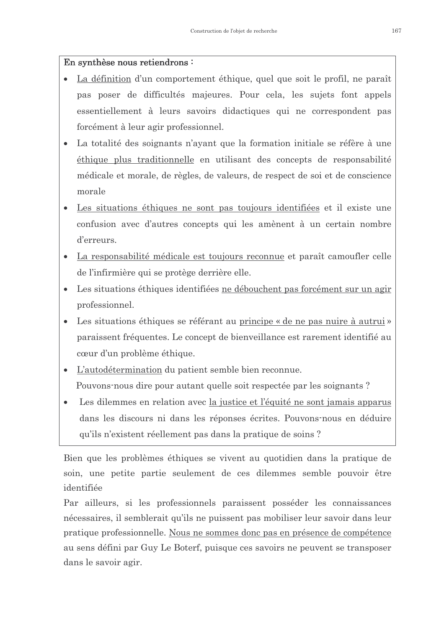#### En synthèse nous retiendrons:

- La définition d'un comportement éthique, quel que soit le profil, ne paraît  $\bullet$ pas poser de difficultés majeures. Pour cela, les sujets font appels essentiellement à leurs savoirs didactiques qui ne correspondent pas forcément à leur agir professionnel.
- La totalité des soignants n'ayant que la formation initiale se réfère à une éthique plus traditionnelle en utilisant des concepts de responsabilité médicale et morale, de règles, de valeurs, de respect de soi et de conscience morale
- Les situations éthiques ne sont pas toujours identifiées et il existe une confusion avec d'autres concepts qui les amènent à un certain nombre d'erreurs.
- La responsabilité médicale est toujours reconnue et paraît camoufler celle de l'infirmière qui se protège derrière elle.
- Les situations éthiques identifiées ne débouchent pas forcément sur un agir professionnel.
- Les situations éthiques se référant au principe « de ne pas nuire à autrui » paraissent fréquentes. Le concept de bienveillance est rarement identifié au cœur d'un problème éthique.
- L'autodétermination du patient semble bien reconnue. Pouvons nous dire pour autant quelle soit respectée par les soignants?
- Les dilemmes en relation avec <u>la justice et l'équité ne sont jamais apparus</u> dans les discours ni dans les réponses écrites. Pouvons nous en déduire qu'ils n'existent réellement pas dans la pratique de soins ?

Bien que les problèmes éthiques se vivent au quotidien dans la pratique de soin, une petite partie seulement de ces dilemmes semble pouvoir être identifiée

Par ailleurs, si les professionnels paraissent posséder les connaissances nécessaires, il semblerait qu'ils ne puissent pas mobiliser leur savoir dans leur pratique professionnelle. Nous ne sommes donc pas en présence de compétence au sens défini par Guy Le Boterf, puisque ces savoirs ne peuvent se transposer dans le savoir agir.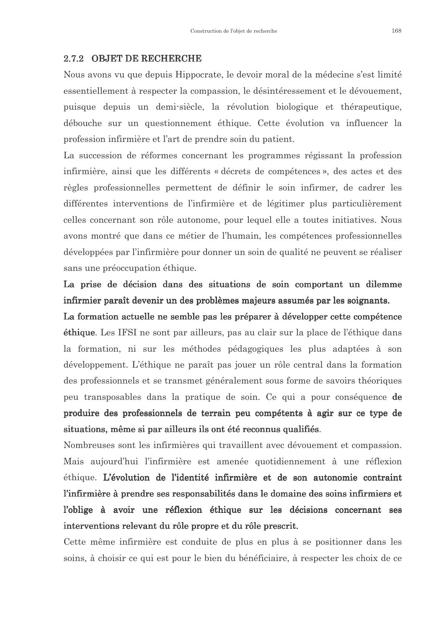#### 2.7.2 OBJET DE RECHERCHE

Nous avons vu que depuis Hippocrate, le devoir moral de la médecine s'est limité essentiellement à respecter la compassion, le désintéressement et le dévouement, puisque depuis un demi-siècle, la révolution biologique et thérapeutique, débouche sur un questionnement éthique. Cette évolution va influencer la profession infirmière et l'art de prendre soin du patient.

La succession de réformes concernant les programmes régissant la profession infirmière, ainsi que les différents « décrets de compétences », des actes et des règles professionnelles permettent de définir le soin infirmer, de cadrer les différentes interventions de l'infirmière et de légitimer plus particulièrement celles concernant son rôle autonome, pour lequel elle a toutes initiatives. Nous avons montré que dans ce métier de l'humain, les compétences professionnelles développées par l'infirmière pour donner un soin de qualité ne peuvent se réaliser sans une préoccupation éthique.

La prise de décision dans des situations de soin comportant un dilemme infirmier paraît devenir un des problèmes majeurs assumés par les soignants.

La formation actuelle ne semble pas les préparer à développer cette compétence **éthique**. Les IFSI ne sont par ailleurs, pas au clair sur la place de l'éthique dans la formation, ni sur les méthodes pédagogiques les plus adaptées à son développement. L'éthique ne paraît pas jouer un rôle central dans la formation des professionnels et se transmet généralement sous forme de savoirs théoriques peu transposables dans la pratique de soin. Ce qui a pour conséquence de produire des professionnels de terrain peu compétents à agir sur ce type de situations, même si par ailleurs ils ont été reconnus qualifiés.

Nombreuses sont les infirmières qui travaillent avec dévouement et compassion. Mais aujourd'hui l'infirmière est amenée quotidiennement à une réflexion éthique. L'évolution de l'identité infirmière et de son autonomie contraint l'infirmière à prendre ses responsabilités dans le domaine des soins infirmiers et l'oblige à avoir une réflexion éthique sur les décisions concernant ses interventions relevant du rôle propre et du rôle prescrit.

Cette même infirmière est conduite de plus en plus à se positionner dans les soins, à choisir ce qui est pour le bien du bénéficiaire, à respecter les choix de ce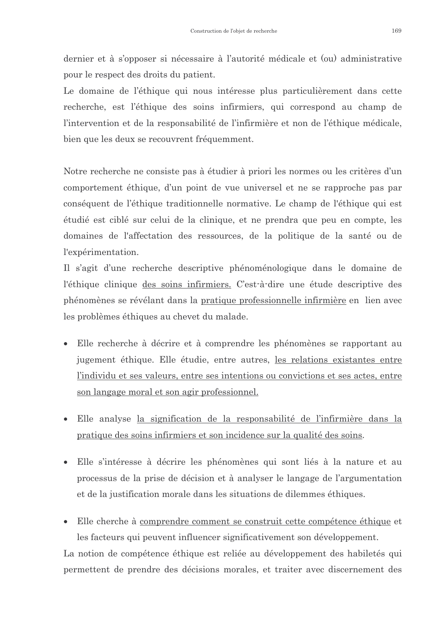dernier et à s'opposer si nécessaire à l'autorité médicale et (ou) administrative pour le respect des droits du patient.

Le domaine de l'éthique qui nous intéresse plus particulièrement dans cette recherche, est l'éthique des soins infirmiers, qui correspond au champ de l'intervention et de la responsabilité de l'infirmière et non de l'éthique médicale, bien que les deux se recouvrent fréquemment.

Notre recherche ne consiste pas à étudier à priori les normes ou les critères d'un comportement éthique, d'un point de vue universel et ne se rapproche pas par conséquent de l'éthique traditionnelle normative. Le champ de l'éthique qui est étudié est ciblé sur celui de la clinique, et ne prendra que peu en compte, les domaines de l'affectation des ressources, de la politique de la santé ou de l'expérimentation.

Il s'agit d'une recherche descriptive phénoménologique dans le domaine de l'éthique clinique des soins infirmiers. C'est-à-dire une étude descriptive des phénomènes se révélant dans la pratique professionnelle infirmière en lien avec les problèmes éthiques au chevet du malade.

- Elle recherche à décrire et à comprendre les phénomènes se rapportant au  $\bullet$ jugement éthique. Elle étudie, entre autres, les relations existantes entre l'individu et ses valeurs, entre ses intentions ou convictions et ses actes, entre son langage moral et son agir professionnel.
- Elle analyse la signification de la responsabilité de l'infirmière dans la pratique des soins infirmiers et son incidence sur la qualité des soins.
- Elle s'intéresse à décrire les phénomènes qui sont liés à la nature et au processus de la prise de décision et à analyser le langage de l'argumentation et de la justification morale dans les situations de dilemmes éthiques.
- Elle cherche à comprendre comment se construit cette compétence éthique et  $\bullet$ les facteurs qui peuvent influencer significativement son développement.

La notion de compétence éthique est reliée au développement des habiletés qui permettent de prendre des décisions morales, et traiter avec discernement des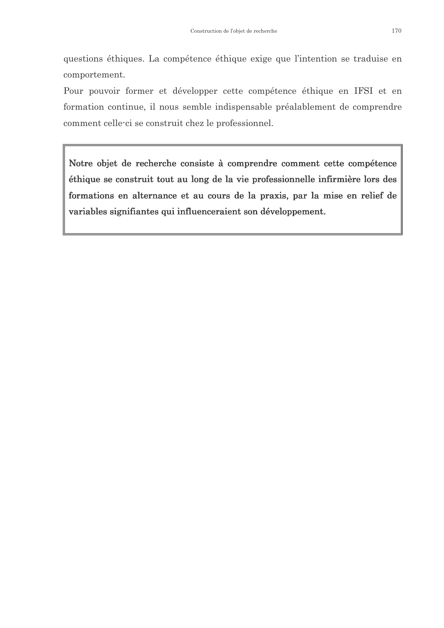questions éthiques. La compétence éthique exige que l'intention se traduise en comportement.

Pour pouvoir former et développer cette compétence éthique en IFSI et en formation continue, il nous semble indispensable préalablement de comprendre comment celle-ci se construit chez le professionnel.

Notre objet de recherche consiste à comprendre comment cette compétence éthique se construit tout au long de la vie professionnelle infirmière lors des formations en alternance et au cours de la praxis, par la mise en relief de variables signifiantes qui influenceraient son développement.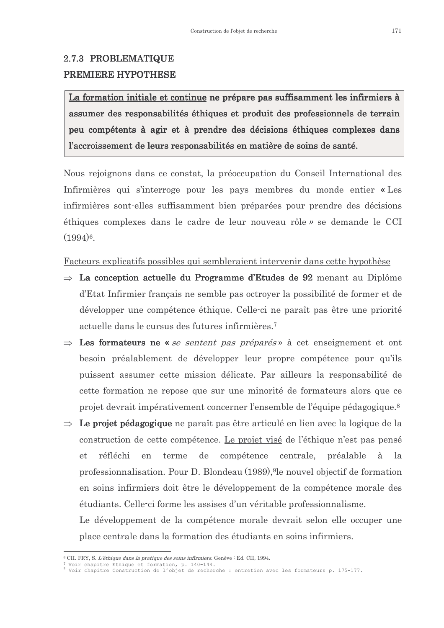### 2.7.3 PROBLEMATIQUE PREMIERE HYPOTHESE

La formation initiale et continue ne prépare pas suffisamment les infirmiers à assumer des responsabilités éthiques et produit des professionnels de terrain peu compétents à agir et à prendre des décisions éthiques complexes dans l'accroissement de leurs responsabilités en matière de soins de santé.

Nous rejoignons dans ce constat, la préoccupation du Conseil International des Infirmières qui s'interroge pour les pays membres du monde entier « Les infirmières sont-elles suffisamment bien préparées pour prendre des décisions éthiques complexes dans le cadre de leur nouveau rôle » se demande le CCI  $(1994)^6$ .

Facteurs explicatifs possibles qui sembleraient intervenir dans cette hypothèse

- $\Rightarrow$  La conception actuelle du Programme d'Etudes de 92 menant au Diplôme d'Etat Infirmier français ne semble pas octroyer la possibilité de former et de développer une compétence éthique. Celle-ci ne paraît pas être une priorité actuelle dans le cursus des futures infirmières.<sup>7</sup>
- $\Rightarrow$  Les formateurs ne « se sentent pas préparés » à cet enseignement et ont besoin préalablement de développer leur propre compétence pour qu'ils puissent assumer cette mission délicate. Par ailleurs la responsabilité de cette formation ne repose que sur une minorité de formateurs alors que ce projet devrait impérativement concerner l'ensemble de l'équipe pédagogique.<sup>8</sup>
- $\Rightarrow$  Le projet pédagogique ne paraît pas être articulé en lien avec la logique de la construction de cette compétence. Le projet visé de l'éthique n'est pas pensé réfléchi en terme de compétence centrale. préalable à  $1a$  $et$ professionnalisation. Pour D. Blondeau (1989), 9le nouvel objectif de formation en soins infirmiers doit être le développement de la compétence morale des étudiants. Celle-ci forme les assises d'un véritable professionnalisme.

Le développement de la compétence morale devrait selon elle occuper une place centrale dans la formation des étudiants en soins infirmiers.

<sup>&</sup>lt;sup>6</sup> CII. FRY, S. L'éthique dans la pratique des soins infirmiers. Genève : Ed. CII, 1994.

<sup>7</sup> Voir chapitre Ethique et formation, p. 140-144.<br>8 Voir chapitre Construction de l'objet de recherche : entretien avec les formateurs p. 175-177.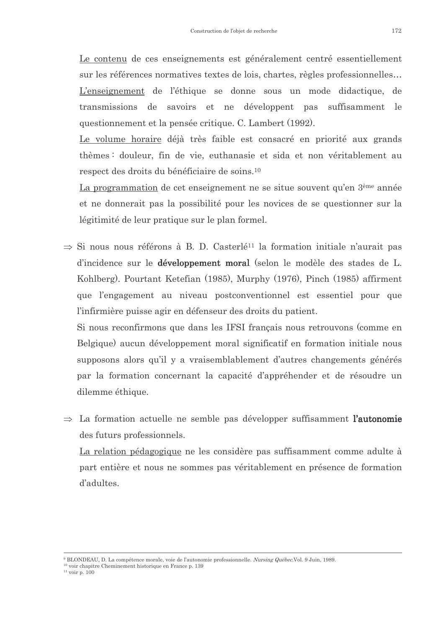Le contenu de ces enseignements est généralement centré essentiellement sur les références normatives textes de lois, chartes, règles professionnelles... L'enseignement de l'éthique se donne sous un mode didactique, de transmissions de savoirs et ne développent pas suffisamment le questionnement et la pensée critique. C. Lambert (1992).

Le volume horaire déjà très faible est consacré en priorité aux grands thèmes: douleur, fin de vie, euthanasie et sida et non véritablement au respect des droits du bénéficiaire de soins.<sup>10</sup>

La programmation de cet enseignement ne se situe souvent qu'en 3<sup>ème</sup> année et ne donnerait pas la possibilité pour les novices de se questionner sur la légitimité de leur pratique sur le plan formel.

 $\Rightarrow$  Si nous nous référons à B. D. Casterlé<sup>11</sup> la formation initiale n'aurait pas d'incidence sur le **développement moral** (selon le modèle des stades de L. Kohlberg). Pourtant Ketefian (1985), Murphy (1976), Pinch (1985) affirment que l'engagement au niveau postconventionnel est essentiel pour que l'infirmière puisse agir en défenseur des droits du patient.

Si nous reconfirmons que dans les IFSI français nous retrouvons (comme en Belgique) aucun développement moral significatif en formation initiale nous supposons alors qu'il y a vraisemblablement d'autres changements générés par la formation concernant la capacité d'appréhender et de résoudre un dilemme éthique.

 $\Rightarrow$  La formation actuelle ne semble pas développer suffisamment l'autonomie des futurs professionnels.

La relation pédagogique ne les considère pas suffisamment comme adulte à part entière et nous ne sommes pas véritablement en présence de formation d'adultes.

<sup>&</sup>lt;sup>9</sup> BLONDEAU, D. La compétence morale, voie de l'autonomie professionnelle. Nursing Québec.Vol. 9 Juin, 1989.

<sup>&</sup>lt;sup>10</sup> voir chapitre Cheminement historique en France p. 139

 $11$  voir p.  $100$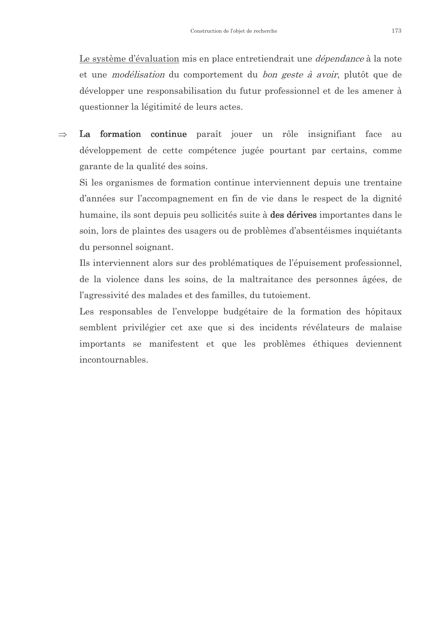Le système d'évaluation mis en place entretiendrait une *dépendance* à la note et une *modélisation* du comportement du *bon geste à avoir*, plutôt que de développer une responsabilisation du futur professionnel et de les amener à questionner la légitimité de leurs actes.

 $\Rightarrow$ La formation continue paraît jouer un rôle insignifiant face au développement de cette compétence jugée pourtant par certains, comme garante de la qualité des soins.

Si les organismes de formation continue interviennent depuis une trentaine d'années sur l'accompagnement en fin de vie dans le respect de la dignité humaine, ils sont depuis peu sollicités suite à des dérives importantes dans le soin, lors de plaintes des usagers ou de problèmes d'absentéismes inquiétants du personnel soignant.

Ils interviennent alors sur des problématiques de l'épuisement professionnel, de la violence dans les soins, de la maltraitance des personnes âgées, de l'agressivité des malades et des familles, du tutoiement.

Les responsables de l'enveloppe budgétaire de la formation des hôpitaux semblent privilégier cet axe que si des incidents révélateurs de malaise importants se manifestent et que les problèmes éthiques deviennent incontournables.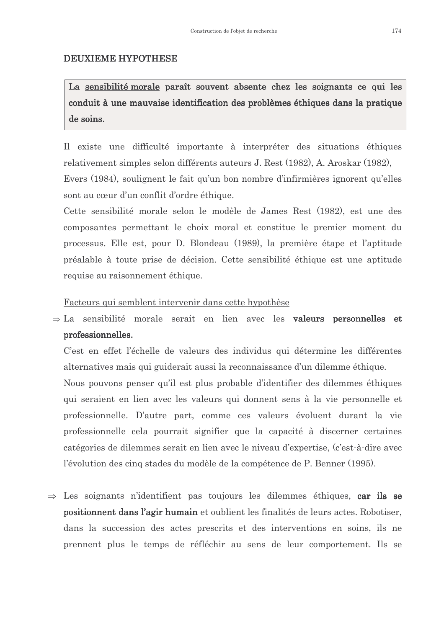#### **DEUXIEME HYPOTHESE**

La sensibilité morale paraît souvent absente chez les soignants ce qui les conduit à une mauvaise identification des problèmes éthiques dans la pratique de soins.

Il existe une difficulté importante à interpréter des situations éthiques relativement simples selon différents auteurs J. Rest (1982), A. Aroskar (1982), Evers (1984), soulignent le fait qu'un bon nombre d'infirmières ignorent qu'elles sont au cœur d'un conflit d'ordre éthique.

Cette sensibilité morale selon le modèle de James Rest (1982), est une des composantes permettant le choix moral et constitue le premier moment du processus. Elle est, pour D. Blondeau (1989), la première étape et l'aptitude préalable à toute prise de décision. Cette sensibilité éthique est une aptitude requise au raisonnement éthique.

#### Facteurs qui semblent intervenir dans cette hypothèse

 $\Rightarrow$  La sensibilité morale serait en lien avec les **valeurs personnelles et** professionnelles.

C'est en effet l'échelle de valeurs des individus qui détermine les différentes alternatives mais qui guiderait aussi la reconnaissance d'un dilemme éthique.

Nous pouvons penser qu'il est plus probable d'identifier des dilemmes éthiques qui seraient en lien avec les valeurs qui donnent sens à la vie personnelle et professionnelle. D'autre part, comme ces valeurs évoluent durant la vie professionnelle cela pourrait signifier que la capacité à discerner certaines catégories de dilemmes serait en lien avec le niveau d'expertise, (c'est-à-dire avec l'évolution des cinq stades du modèle de la compétence de P. Benner (1995).

 $\Rightarrow$  Les soignants n'identifient pas toujours les dilemmes éthiques, car ils se positionnent dans l'agir humain et oublient les finalités de leurs actes. Robotiser, dans la succession des actes prescrits et des interventions en soins, ils ne prennent plus le temps de réfléchir au sens de leur comportement. Ils se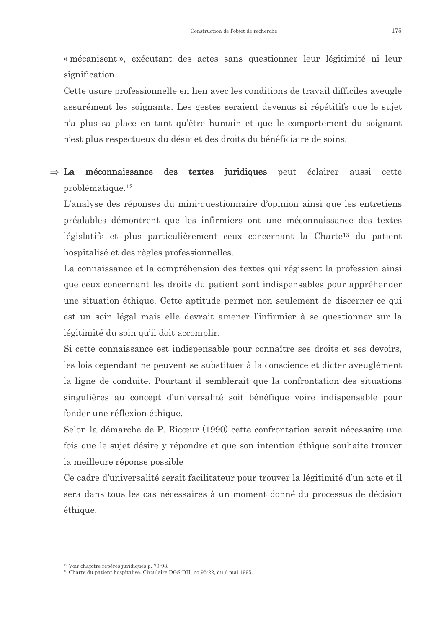« mécanisent », exécutant des actes sans questionner leur légitimité ni leur signification.

Cette usure professionnelle en lien avec les conditions de travail difficiles aveugle assurément les soignants. Les gestes seraient devenus si répétitifs que le sujet n'a plus sa place en tant qu'être humain et que le comportement du soignant n'est plus respectueux du désir et des droits du bénéficiaire de soins.

#### $\Rightarrow$  La méconnaissance des textes juridiques peut éclairer cette aussi  $\n *prob*$ lématique.<sup>12</sup>

L'analyse des réponses du mini-questionnaire d'opinion ainsi que les entretiens préalables démontrent que les infirmiers ont une méconnaissance des textes législatifs et plus particulièrement ceux concernant la Charte<sup>13</sup> du patient hospitalisé et des règles professionnelles.

La connaissance et la compréhension des textes qui régissent la profession ainsi que ceux concernant les droits du patient sont indispensables pour appréhender une situation éthique. Cette aptitude permet non seulement de discerner ce qui est un soin légal mais elle devrait amener l'infirmier à se questionner sur la légitimité du soin qu'il doit accomplir.

Si cette connaissance est indispensable pour connaître ses droits et ses devoirs, les lois cependant ne peuvent se substituer à la conscience et dicter aveuglément la ligne de conduite. Pourtant il semblerait que la confrontation des situations singulières au concept d'universalité soit bénéfique voire indispensable pour fonder une réflexion éthique.

Selon la démarche de P. Ricœur (1990) cette confrontation serait nécessaire une fois que le sujet désire y répondre et que son intention éthique souhaite trouver la meilleure réponse possible

Ce cadre d'universalité serait facilitateur pour trouver la légitimité d'un acte et il sera dans tous les cas nécessaires à un moment donné du processus de décision éthique.

 $12$  Voir chapitre repères juridiques p. 79-93.

<sup>&</sup>lt;sup>13</sup> Charte du patient hospitalisé. Circulaire DGS-DH, no 95-22, du 6 mai 1995.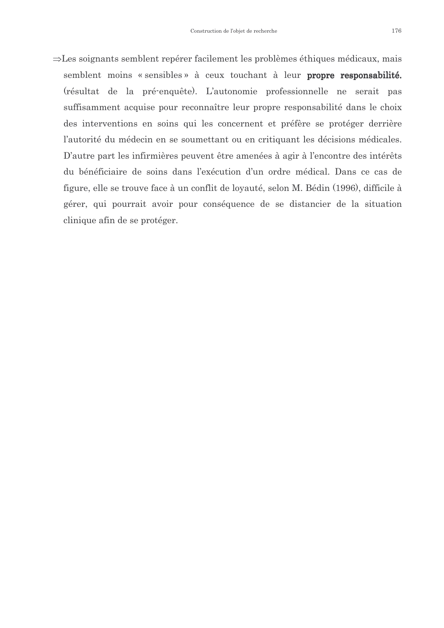$\Rightarrow$ Les soignants semblent repérer facilement les problèmes éthiques médicaux, mais semblent moins « sensibles » à ceux touchant à leur propre responsabilité. (résultat de la pré-enquête). L'autonomie professionnelle ne serait pas suffisamment acquise pour reconnaître leur propre responsabilité dans le choix des interventions en soins qui les concernent et préfère se protéger derrière l'autorité du médecin en se soumettant ou en critiquant les décisions médicales. D'autre part les infirmières peuvent être amenées à agir à l'encontre des intérêts du bénéficiaire de soins dans l'exécution d'un ordre médical. Dans ce cas de figure, elle se trouve face à un conflit de loyauté, selon M. Bédin (1996), difficile à gérer, qui pourrait avoir pour conséquence de se distancier de la situation clinique afin de se protéger.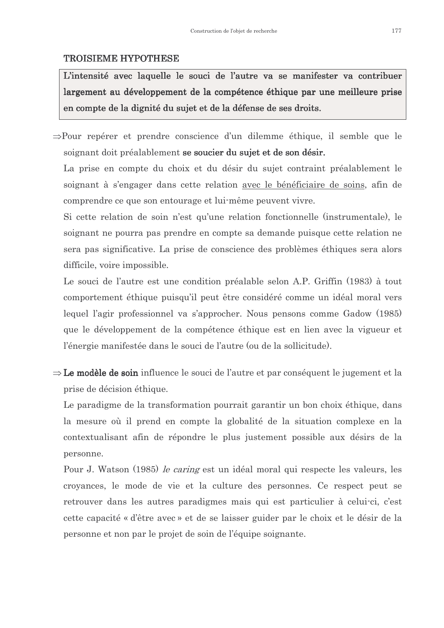#### **TROISIEME HYPOTHESE**

L'intensité avec laquelle le souci de l'autre va se manifester va contribuer largement au développement de la compétence éthique par une meilleure prise en compte de la dignité du sujet et de la défense de ses droits.

 $\Rightarrow$ Pour repérer et prendre conscience d'un dilemme éthique, il semble que le soignant doit préalablement se soucier du suiet et de son désir.

La prise en compte du choix et du désir du sujet contraint préalablement le soignant à s'engager dans cette relation avec le bénéficiaire de soins, afin de comprendre ce que son entourage et lui-même peuvent vivre.

Si cette relation de soin n'est qu'une relation fonctionnelle (instrumentale), le soignant ne pourra pas prendre en compte sa demande puisque cette relation ne sera pas significative. La prise de conscience des problèmes éthiques sera alors difficile, voire impossible.

Le souci de l'autre est une condition préalable selon A.P. Griffin (1983) à tout comportement éthique puisqu'il peut être considéré comme un idéal moral vers lequel l'agir professionnel va s'approcher. Nous pensons comme Gadow (1985) que le développement de la compétence éthique est en lien avec la vigueur et l'énergie manifestée dans le souci de l'autre (ou de la sollicitude).

 $\Rightarrow$  Le modèle de soin influence le souci de l'autre et par conséquent le jugement et la prise de décision éthique.

Le paradigme de la transformation pourrait garantir un bon choix éthique, dans la mesure où il prend en compte la globalité de la situation complexe en la contextualisant afin de répondre le plus justement possible aux désirs de la personne.

Pour J. Watson (1985) le caring est un idéal moral qui respecte les valeurs, les croyances, le mode de vie et la culture des personnes. Ce respect peut se retrouver dans les autres paradigmes mais qui est particulier à celui-ci, c'est cette capacité « d'être avec » et de se laisser guider par le choix et le désir de la personne et non par le projet de soin de l'équipe soignante.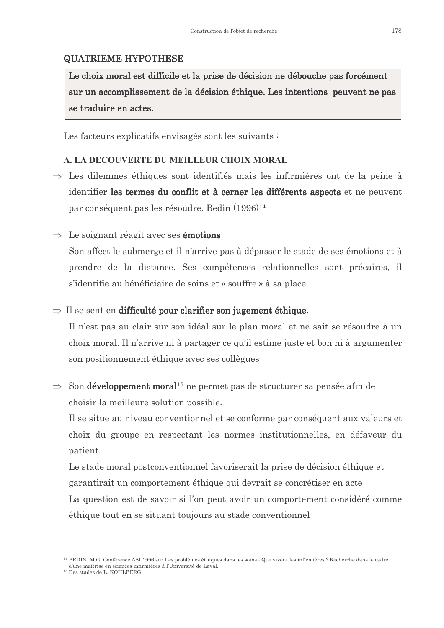### **QUATRIEME HYPOTHESE**

Le choix moral est difficile et la prise de décision ne débouche pas forcément sur un accomplissement de la décision éthique. Les intentions peuvent ne pas se traduire en actes.

Les facteurs explicatifs envisagés sont les suivants :

### A. LA DECOUVERTE DU MEILLEUR CHOIX MORAL

- $\Rightarrow$  Les dilemmes éthiques sont identifiés mais les infirmières ont de la peine à identifier les termes du conflit et à cerner les différents aspects et ne peuvent par conséquent pas les résoudre. Bedin (1996)<sup>14</sup>
- $\Rightarrow$  Le soignant réagit avec ses **émotions**

Son affect le submerge et il n'arrive pas à dépasser le stade de ses émotions et à prendre de la distance. Ses compétences relationnelles sont précaires, il s'identifie au bénéficiaire de soins et « souffre » à sa place.

#### $\Rightarrow$  Il se sent en difficulté pour clarifier son jugement éthique.

Il n'est pas au clair sur son idéal sur le plan moral et ne sait se résoudre à un choix moral. Il n'arrive ni à partager ce qu'il estime juste et bon ni à argumenter son positionnement éthique avec ses collègues

 $\Rightarrow$  Son **développement moral**<sup>15</sup> ne permet pas de structurer sa pensée afin de choisir la meilleure solution possible.

Il se situe au niveau conventionnel et se conforme par conséquent aux valeurs et choix du groupe en respectant les normes institutionnelles, en défaveur du patient.

Le stade moral postconventionnel favoriserait la prise de décision éthique et garantirait un comportement éthique qui devrait se concrétiser en acte La question est de savoir si l'on peut avoir un comportement considéré comme éthique tout en se situant toujours au stade conventionnel

<sup>&</sup>lt;sup>14</sup> BEDIN. M.G. Conférence ASI 1996 sur Les problèmes éthiques dans les soins : Que vivent les infirmières ? Recherche dans le cadre d'une maîtrise en sciences infirmières à l'Université de Laval

<sup>&</sup>lt;sup>15</sup> Des stades de L. KOHLBERG.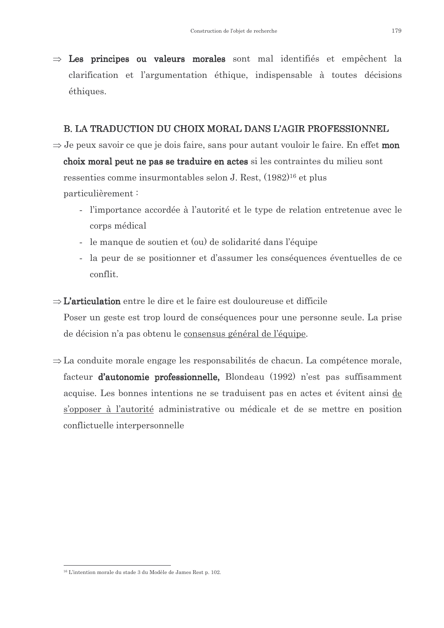$\Rightarrow$  Les principes ou valeurs morales sont mal identifiés et empêchent la clarification et l'argumentation éthique, indispensable à toutes décisions éthiques.

#### **B. LA TRADUCTION DU CHOIX MORAL DANS L'AGIR PROFESSIONNEL**

- $\Rightarrow$  Je peux savoir ce que je dois faire, sans pour autant vouloir le faire. En effet mon choix moral peut ne pas se traduire en actes si les contraintes du milieu sont ressenties comme insurmontables selon J. Rest, (1982)<sup>16</sup> et plus particulièrement:
	- l'importance accordée à l'autorité et le type de relation entretenue avec le corps médical
	- le manque de soutien et (ou) de solidarité dans l'équipe
	- la peur de se positionner et d'assumer les conséquences éventuelles de ce conflit.
- $\Rightarrow$  L'articulation entre le dire et le faire est douloureuse et difficile

Poser un geste est trop lourd de conséquences pour une personne seule. La prise de décision n'a pas obtenu le consensus général de l'équipe.

 $\Rightarrow$  La conduite morale engage les responsabilités de chacun. La compétence morale, facteur d'autonomie professionnelle, Blondeau (1992) n'est pas suffisamment acquise. Les bonnes intentions ne se traduisent pas en actes et évitent ainsi de s'opposer à l'autorité administrative ou médicale et de se mettre en position conflictuelle interpersonnelle

<sup>&</sup>lt;sup>16</sup> L'intention morale du stade 3 du Modèle de James Rest n 102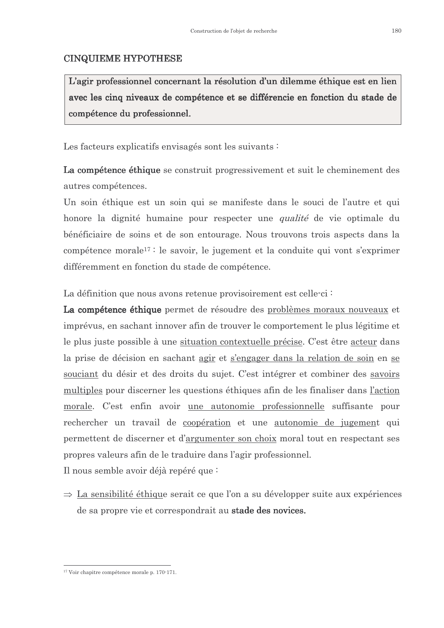### **CINQUIEME HYPOTHESE**

L'agir professionnel concernant la résolution d'un dilemme éthique est en lien avec les cinq niveaux de compétence et se différencie en fonction du stade de compétence du professionnel.

Les facteurs explicatifs envisagés sont les suivants :

La compétence éthique se construit progressivement et suit le cheminement des autres compétences.

Un soin éthique est un soin qui se manifeste dans le souci de l'autre et qui honore la dignité humaine pour respecter une *qualité* de vie optimale du bénéficiaire de soins et de son entourage. Nous trouvons trois aspects dans la compétence morale<sup>17 :</sup> le savoir, le jugement et la conduite qui vont s'exprimer différemment en fonction du stade de compétence.

La définition que nous avons retenue provisoirement est celle-ci :

La compétence éthique permet de résoudre des problèmes moraux nouveaux et imprévus, en sachant innover afin de trouver le comportement le plus légitime et le plus juste possible à une situation contextuelle précise. C'est être acteur dans la prise de décision en sachant agir et s'engager dans la relation de soin en se souciant du désir et des droits du sujet. C'est intégrer et combiner des savoirs multiples pour discerner les questions éthiques afin de les finaliser dans l'action morale. C'est enfin avoir une autonomie professionnelle suffisante pour rechercher un travail de coopération et une autonomie de jugement qui permettent de discerner et d'argumenter son choix moral tout en respectant ses propres valeurs afin de le traduire dans l'agir professionnel.

Il nous semble avoir déjà repéré que :

 $\Rightarrow$  La sensibilité éthique serait ce que l'on a su développer suite aux expériences de sa propre vie et correspondrait au **stade des novices.** 

 $17$  Voir chapitre compétence morale p.  $170-171$ .